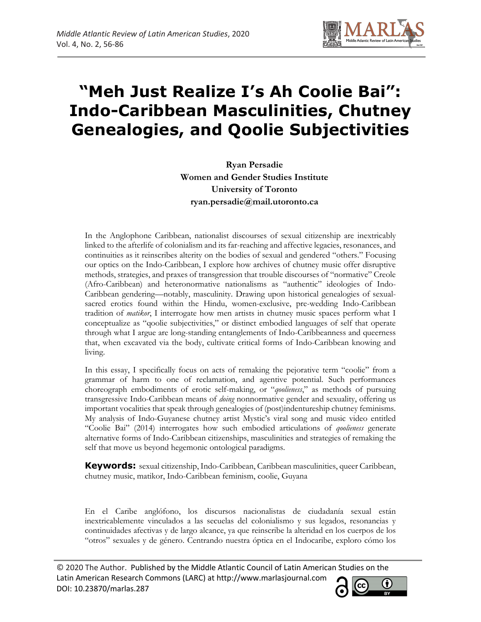

# **"Meh Just Realize I's Ah Coolie Bai": Indo-Caribbean Masculinities, Chutney Genealogies, and Qoolie Subjectivities**

**Ryan Persadie Women and Gender Studies Institute University of Toronto ryan.persadie@mail.utoronto.ca**

In the Anglophone Caribbean, nationalist discourses of sexual citizenship are inextricably linked to the afterlife of colonialism and its far-reaching and affective legacies, resonances, and continuities as it reinscribes alterity on the bodies of sexual and gendered "others." Focusing our optics on the Indo-Caribbean, I explore how archives of chutney music offer disruptive methods, strategies, and praxes of transgression that trouble discourses of "normative" Creole (Afro-Caribbean) and heteronormative nationalisms as "authentic" ideologies of Indo-Caribbean gendering—notably, masculinity. Drawing upon historical genealogies of sexualsacred erotics found within the Hindu, women-exclusive, pre-wedding Indo-Caribbean tradition of *matikor*, I interrogate how men artists in chutney music spaces perform what I conceptualize as "qoolie subjectivities," or distinct embodied languages of self that operate through what I argue are long-standing entanglements of Indo-Caribbeanness and queerness that, when excavated via the body, cultivate critical forms of Indo-Caribbean knowing and living.

In this essay, I specifically focus on acts of remaking the pejorative term "coolie" from a grammar of harm to one of reclamation, and agentive potential. Such performances choreograph embodiments of erotic self-making, or "*qoolieness*," as methods of pursuing transgressive Indo-Caribbean means of *doing* nonnormative gender and sexuality, offering us important vocalities that speak through genealogies of (post)indentureship chutney feminisms. My analysis of Indo-Guyanese chutney artist Mystic's viral song and music video entitled "Coolie Bai" (2014) interrogates how such embodied articulations of *qoolieness* generate alternative forms of Indo-Caribbean citizenships, masculinities and strategies of remaking the self that move us beyond hegemonic ontological paradigms.

**Keywords:** sexual citizenship, Indo-Caribbean, Caribbean masculinities, queer Caribbean, chutney music, matikor, Indo-Caribbean feminism, coolie, Guyana

En el Caribe anglófono, los discursos nacionalistas de ciudadanía sexual están inextricablemente vinculados a las secuelas del colonialismo y sus legados, resonancias y continuidades afectivas y de largo alcance, ya que reinscribe la alteridad en los cuerpos de los "otros" sexuales y de género. Centrando nuestra óptica en el Indocaribe, exploro cómo los

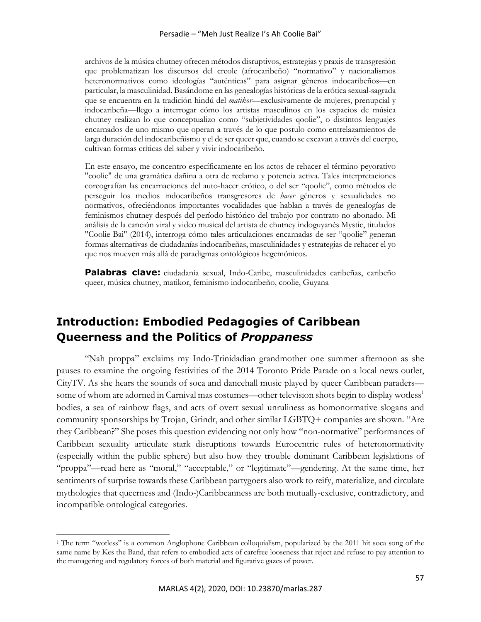archivos de la música chutney ofrecen métodos disruptivos, estrategias y praxis de transgresión que problematizan los discursos del creole (afrocaribeño) "normativo" y nacionalismos heteronormativos como ideologías "auténticas" para asignar géneros indocaribeños—en particular, la masculinidad. Basándome en las genealogías históricas de la erótica sexual-sagrada que se encuentra en la tradición hindú del *matikor*—exclusivamente de mujeres, prenupcial y indocaribeña—llego a interrogar cómo los artistas masculinos en los espacios de música chutney realizan lo que conceptualizo como "subjetividades qoolie", o distintos lenguajes encarnados de uno mismo que operan a través de lo que postulo como entrelazamientos de larga duración del indocaribeñismo y el de ser queer que, cuando se excavan a través del cuerpo, cultivan formas críticas del saber y vivir indocaribeño.

En este ensayo, me concentro específicamente en los actos de rehacer el término peyorativo "coolie" de una gramática dañina a otra de reclamo y potencia activa. Tales interpretaciones coreografían las encarnaciones del auto-hacer erótico, o del ser "qoolie", como métodos de perseguir los medios indocaribeños transgresores de *hacer* géneros y sexualidades no normativos, ofreciéndonos importantes vocalidades que hablan a través de genealogías de feminismos chutney después del período histórico del trabajo por contrato no abonado. Mi análisis de la canción viral y video musical del artista de chutney indoguyanés Mystic, titulados "Coolie Bai" (2014), interroga cómo tales articulaciones encarnadas de ser "qoolie" generan formas alternativas de ciudadanías indocaribeñas, masculinidades y estrategias de rehacer el yo que nos mueven más allá de paradigmas ontológicos hegemónicos.

**Palabras clave:** ciudadanía sexual, Indo-Caribe, masculinidades caribeñas, caribeño queer, música chutney, matikor, feminismo indocaribeño, coolie, Guyana

# **Introduction: Embodied Pedagogies of Caribbean Queerness and the Politics of** *Proppaness*

"Nah proppa" exclaims my Indo-Trinidadian grandmother one summer afternoon as she pauses to examine the ongoing festivities of the 2014 Toronto Pride Parade on a local news outlet, CityTV. As she hears the sounds of soca and dancehall music played by queer Caribbean paraders some of whom are adorned in Carnival mas costumes—other television shots begin to display wotless<sup>1</sup> bodies, a sea of rainbow flags, and acts of overt sexual unruliness as homonormative slogans and community sponsorships by Trojan, Grindr, and other similar LGBTQ+ companies are shown. "Are they Caribbean?" She poses this question evidencing not only how "non-normative" performances of Caribbean sexuality articulate stark disruptions towards Eurocentric rules of heteronormativity (especially within the public sphere) but also how they trouble dominant Caribbean legislations of "proppa"—read here as "moral," "acceptable," or "legitimate"—gendering. At the same time, her sentiments of surprise towards these Caribbean partygoers also work to reify, materialize, and circulate mythologies that queerness and (Indo-)Caribbeanness are both mutually-exclusive, contradictory, and incompatible ontological categories.

<sup>&</sup>lt;sup>1</sup> The term "wotless" is a common Anglophone Caribbean colloquialism, popularized by the 2011 hit soca song of the same name by Kes the Band, that refers to embodied acts of carefree looseness that reject and refuse to pay attention to the managering and regulatory forces of both material and figurative gazes of power.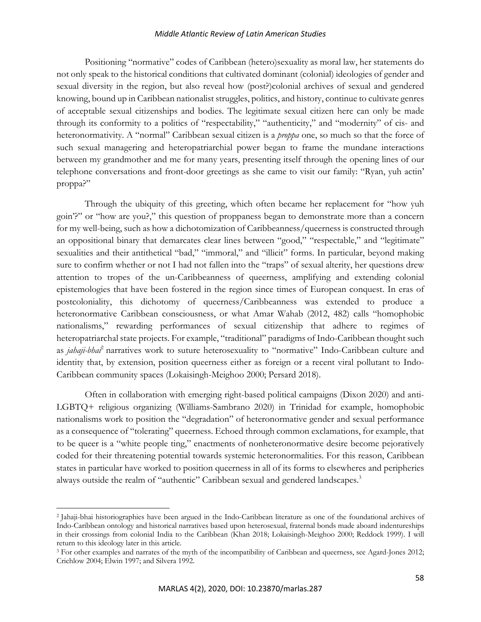Positioning "normative" codes of Caribbean (hetero)sexuality as moral law, her statements do not only speak to the historical conditions that cultivated dominant (colonial) ideologies of gender and sexual diversity in the region, but also reveal how (post?)colonial archives of sexual and gendered knowing, bound up in Caribbean nationalist struggles, politics, and history, continue to cultivate genres of acceptable sexual citizenships and bodies. The legitimate sexual citizen here can only be made through its conformity to a politics of "respectability," "authenticity," and "modernity" of cis- and heteronormativity. A "normal" Caribbean sexual citizen is a *proppa* one, so much so that the force of such sexual managering and heteropatriarchial power began to frame the mundane interactions between my grandmother and me for many years, presenting itself through the opening lines of our telephone conversations and front-door greetings as she came to visit our family: "Ryan, yuh actin' proppa?"

Through the ubiquity of this greeting, which often became her replacement for "how yuh goin'?" or "how are you?," this question of proppaness began to demonstrate more than a concern for my well-being, such as how a dichotomization of Caribbeanness/queerness is constructed through an oppositional binary that demarcates clear lines between "good," "respectable," and "legitimate" sexualities and their antithetical "bad," "immoral," and "illicit" forms. In particular, beyond making sure to confirm whether or not I had not fallen into the "traps" of sexual alterity, her questions drew attention to tropes of the un-Caribbeanness of queerness, amplifying and extending colonial epistemologies that have been fostered in the region since times of European conquest. In eras of postcoloniality, this dichotomy of queerness/Caribbeanness was extended to produce a heteronormative Caribbean consciousness, or what Amar Wahab (2012, 482) calls "homophobic nationalisms," rewarding performances of sexual citizenship that adhere to regimes of heteropatriarchal state projects. For example, "traditional" paradigms of Indo-Caribbean thought such as *jahaji-bhai*<sup>2</sup> narratives work to suture heterosexuality to "normative" Indo-Caribbean culture and identity that, by extension, position queerness either as foreign or a recent viral pollutant to Indo-Caribbean community spaces (Lokaisingh-Meighoo 2000; Persard 2018).

Often in collaboration with emerging right-based political campaigns (Dixon 2020) and anti-LGBTQ+ religious organizing (Williams-Sambrano 2020) in Trinidad for example, homophobic nationalisms work to position the "degradation" of heteronormative gender and sexual performance as a consequence of "tolerating" queerness. Echoed through common exclamations, for example, that to be queer is a "white people ting," enactments of nonheteronormative desire become pejoratively coded for their threatening potential towards systemic heteronormalities. For this reason, Caribbean states in particular have worked to position queerness in all of its forms to elsewheres and peripheries always outside the realm of "authentic" Caribbean sexual and gendered landscapes.<sup>3</sup>

<sup>2</sup> Jahaji-bhai historiographies have been argued in the Indo-Caribbean literature as one of the foundational archives of Indo-Caribbean ontology and historical narratives based upon heterosexual, fraternal bonds made aboard indentureships in their crossings from colonial India to the Caribbean (Khan 2018; Lokaisingh-Meighoo 2000; Reddock 1999). I will return to this ideology later in this article.

<sup>&</sup>lt;sup>3</sup> For other examples and narrates of the myth of the incompatibility of Caribbean and queerness, see Agard-Jones 2012; Crichlow 2004; Elwin 1997; and Silvera 1992.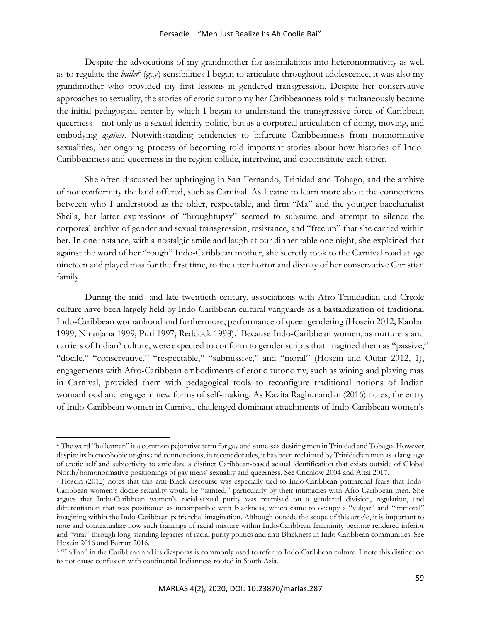#### Persadie – "Meh Just Realize I's Ah Coolie Bai"

Despite the advocations of my grandmother for assimilations into heteronormativity as well as to regulate the *buller*<sup>4</sup> (gay) sensibilities I began to articulate throughout adolescence, it was also my grandmother who provided my first lessons in gendered transgression. Despite her conservative approaches to sexuality, the stories of erotic autonomy her Caribbeanness told simultaneously became the initial pedagogical center by which I began to understand the transgressive force of Caribbean queerness—not only as a sexual identity politic, but as a corporeal articulation of doing, moving, and embodying *against*. Notwithstanding tendencies to bifurcate Caribbeanness from nonnormative sexualities, her ongoing process of becoming told important stories about how histories of Indo-Caribbeanness and queerness in the region collide, intertwine, and coconstitute each other.

She often discussed her upbringing in San Fernando, Trinidad and Tobago, and the archive of nonconformity the land offered, such as Carnival. As I came to learn more about the connections between who I understood as the older, respectable, and firm "Ma" and the younger bacchanalist Sheila, her latter expressions of "broughtupsy" seemed to subsume and attempt to silence the corporeal archive of gender and sexual transgression, resistance, and "free up" that she carried within her. In one instance, with a nostalgic smile and laugh at our dinner table one night, she explained that against the word of her "rough" Indo-Caribbean mother, she secretly took to the Carnival road at age nineteen and played mas for the first time, to the utter horror and dismay of her conservative Christian family.

During the mid- and late twentieth century, associations with Afro-Trinidadian and Creole culture have been largely held by Indo-Caribbean cultural vanguards as a bastardization of traditional Indo-Caribbean womanhood and furthermore, performance of queer gendering (Hosein 2012; Kanhai 1999; Niranjana 1999; Puri 1997; Reddock 1998).<sup>5</sup> Because Indo-Caribbean women, as nurturers and carriers of Indian<sup>6</sup> culture, were expected to conform to gender scripts that imagined them as "passive," "docile," "conservative," "respectable," "submissive," and "moral" (Hosein and Outar 2012, 1), engagements with Afro-Caribbean embodiments of erotic autonomy, such as wining and playing mas in Carnival, provided them with pedagogical tools to reconfigure traditional notions of Indian womanhood and engage in new forms of self-making. As Kavita Raghunandan (2016) notes, the entry of Indo-Caribbean women in Carnival challenged dominant attachments of Indo-Caribbean women's

<sup>4</sup> The word "bullerman" is a common pejorative term for gay and same-sex desiring men in Trinidad and Tobago. However, despite its homophobic origins and connotations, in recent decades, it has been reclaimed by Trinidadian men as a language of erotic self and subjectivity to articulate a distinct Caribbean-based sexual identification that exists outside of Global

<sup>&</sup>lt;sup>5</sup> Hosein (2012) notes that this anti-Black discourse was especially tied to Indo-Caribbean patriarchal fears that Indo-Caribbean women's docile sexuality would be "tainted," particularly by their intimacies with Afro-Caribbean men. She argues that Indo-Caribbean women's racial-sexual purity was premised on a gendered division, regulation, and differentiation that was positioned as incompatible with Blackness, which came to occupy a "vulgar" and "immoral" imagining within the Indo-Caribbean patriarchal imagination. Although outside the scope of this article, it is important to note and contextualize how such framings of racial mixture within Indo-Caribbean femininity become rendered inferior and "viral" through long-standing legacies of racial purity politics and anti-Blackness in Indo-Caribbean communities. See Hosein 2016 and Barratt 2016.

<sup>6</sup> "Indian" in the Caribbean and its diasporas is commonly used to refer to Indo-Caribbean culture. I note this distinction to not cause confusion with continental Indianness rooted in South Asia.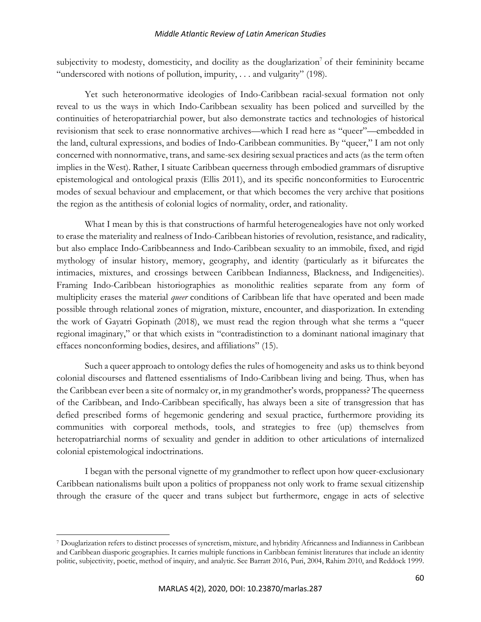subjectivity to modesty, domesticity, and docility as the douglarization<sup>7</sup> of their femininity became "underscored with notions of pollution, impurity, . . . and vulgarity" (198).

Yet such heteronormative ideologies of Indo-Caribbean racial-sexual formation not only reveal to us the ways in which Indo-Caribbean sexuality has been policed and surveilled by the continuities of heteropatriarchial power, but also demonstrate tactics and technologies of historical revisionism that seek to erase nonnormative archives—which I read here as "queer"—embedded in the land, cultural expressions, and bodies of Indo-Caribbean communities. By "queer," I am not only concerned with nonnormative, trans, and same-sex desiring sexual practices and acts (as the term often implies in the West). Rather, I situate Caribbean queerness through embodied grammars of disruptive epistemological and ontological praxis (Ellis 2011), and its specific nonconformities to Eurocentric modes of sexual behaviour and emplacement, or that which becomes the very archive that positions the region as the antithesis of colonial logics of normality, order, and rationality.

What I mean by this is that constructions of harmful heterogenealogies have not only worked to erase the materiality and realness of Indo-Caribbean histories of revolution, resistance, and radicality, but also emplace Indo-Caribbeanness and Indo-Caribbean sexuality to an immobile, fixed, and rigid mythology of insular history, memory, geography, and identity (particularly as it bifurcates the intimacies, mixtures, and crossings between Caribbean Indianness, Blackness, and Indigeneities). Framing Indo-Caribbean historiographies as monolithic realities separate from any form of multiplicity erases the material *queer* conditions of Caribbean life that have operated and been made possible through relational zones of migration, mixture, encounter, and diasporization. In extending the work of Gayatri Gopinath (2018), we must read the region through what she terms a "queer regional imaginary," or that which exists in "contradistinction to a dominant national imaginary that effaces nonconforming bodies, desires, and affiliations" (15).

Such a queer approach to ontology defies the rules of homogeneity and asks us to think beyond colonial discourses and flattened essentialisms of Indo-Caribbean living and being. Thus, when has the Caribbean ever been a site of normalcy or, in my grandmother's words, proppaness? The queerness of the Caribbean, and Indo-Caribbean specifically, has always been a site of transgression that has defied prescribed forms of hegemonic gendering and sexual practice, furthermore providing its communities with corporeal methods, tools, and strategies to free (up) themselves from heteropatriarchial norms of sexuality and gender in addition to other articulations of internalized colonial epistemological indoctrinations.

I began with the personal vignette of my grandmother to reflect upon how queer-exclusionary Caribbean nationalisms built upon a politics of proppaness not only work to frame sexual citizenship through the erasure of the queer and trans subject but furthermore, engage in acts of selective

<sup>7</sup> Douglarization refers to distinct processes of syncretism, mixture, and hybridity Africanness and Indianness in Caribbean and Caribbean diasporic geographies. It carries multiple functions in Caribbean feminist literatures that include an identity politic, subjectivity, poetic, method of inquiry, and analytic. See Barratt 2016, Puri, 2004, Rahim 2010, and Reddock 1999.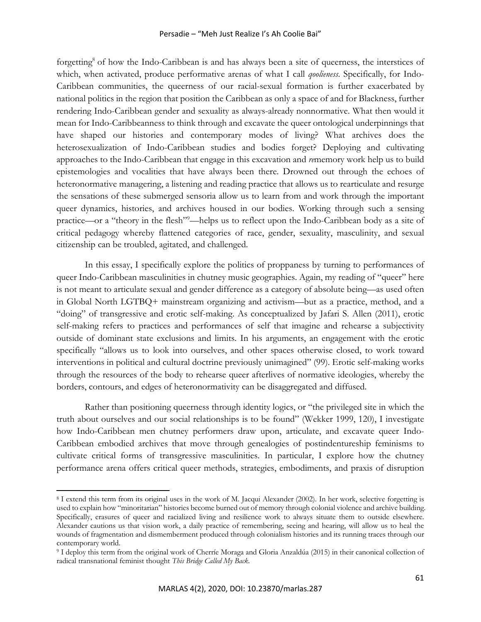forgetting<sup>8</sup> of how the Indo-Caribbean is and has always been a site of queerness, the interstices of which, when activated, produce performative arenas of what I call *qoolieness*. Specifically, for Indo-Caribbean communities, the queerness of our racial-sexual formation is further exacerbated by national politics in the region that position the Caribbean as only a space of and for Blackness, further rendering Indo-Caribbean gender and sexuality as always-already nonnormative. What then would it mean for Indo-Caribbeanness to think through and excavate the queer ontological underpinnings that have shaped our histories and contemporary modes of living? What archives does the heterosexualization of Indo-Caribbean studies and bodies forget? Deploying and cultivating approaches to the Indo-Caribbean that engage in this excavation and *re*memory work help us to build epistemologies and vocalities that have always been there. Drowned out through the echoes of heteronormative managering, a listening and reading practice that allows us to rearticulate and resurge the sensations of these submerged sensoria allow us to learn from and work through the important queer dynamics, histories, and archives housed in our bodies. Working through such a sensing practice—or a "theory in the flesh"9 —helps us to reflect upon the Indo-Caribbean body as a site of critical pedagogy whereby flattened categories of race, gender, sexuality, masculinity, and sexual citizenship can be troubled, agitated, and challenged.

In this essay, I specifically explore the politics of proppaness by turning to performances of queer Indo-Caribbean masculinities in chutney music geographies. Again, my reading of "queer" here is not meant to articulate sexual and gender difference as a category of absolute being—as used often in Global North LGTBQ+ mainstream organizing and activism—but as a practice, method, and a "doing" of transgressive and erotic self-making. As conceptualized by Jafari S. Allen (2011), erotic self-making refers to practices and performances of self that imagine and rehearse a subjectivity outside of dominant state exclusions and limits. In his arguments, an engagement with the erotic specifically "allows us to look into ourselves, and other spaces otherwise closed, to work toward interventions in political and cultural doctrine previously unimagined" (99). Erotic self-making works through the resources of the body to rehearse queer afterlives of normative ideologies, whereby the borders, contours, and edges of heteronormativity can be disaggregated and diffused.

Rather than positioning queerness through identity logics, or "the privileged site in which the truth about ourselves and our social relationships is to be found" (Wekker 1999, 120), I investigate how Indo-Caribbean men chutney performers draw upon, articulate, and excavate queer Indo-Caribbean embodied archives that move through genealogies of postindentureship feminisms to cultivate critical forms of transgressive masculinities. In particular, I explore how the chutney performance arena offers critical queer methods, strategies, embodiments, and praxis of disruption

<sup>8</sup> I extend this term from its original uses in the work of M. Jacqui Alexander (2002). In her work, selective forgetting is used to explain how "minoritarian" histories become burned out of memory through colonial violence and archive building. Specifically, erasures of queer and racialized living and resilience work to always situate them to outside elsewhere. Alexander cautions us that vision work, a daily practice of remembering, seeing and hearing, will allow us to heal the wounds of fragmentation and dismemberment produced through colonialism histories and its running traces through our contemporary world.

<sup>9</sup> I deploy this term from the original work of Cherríe Moraga and Gloria Anzaldúa (2015) in their canonical collection of radical transnational feminist thought *This Bridge Called My Back.*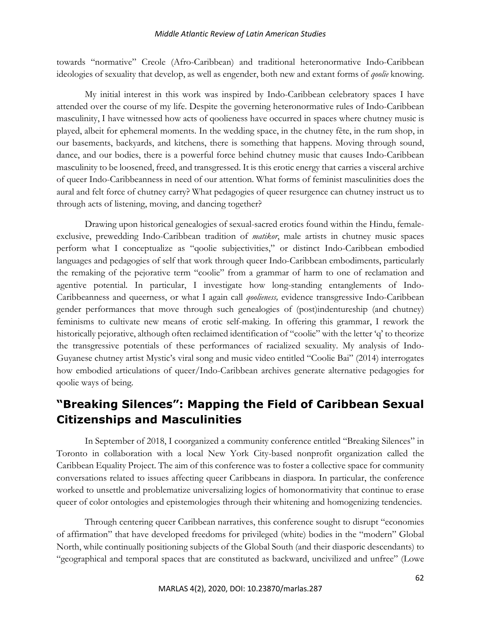towards "normative" Creole (Afro-Caribbean) and traditional heteronormative Indo-Caribbean ideologies of sexuality that develop, as well as engender, both new and extant forms of *qoolie* knowing.

My initial interest in this work was inspired by Indo-Caribbean celebratory spaces I have attended over the course of my life. Despite the governing heteronormative rules of Indo-Caribbean masculinity, I have witnessed how acts of qoolieness have occurred in spaces where chutney music is played, albeit for ephemeral moments. In the wedding space, in the chutney fête, in the rum shop, in our basements, backyards, and kitchens, there is something that happens. Moving through sound, dance, and our bodies, there is a powerful force behind chutney music that causes Indo-Caribbean masculinity to be loosened, freed, and transgressed. It is this erotic energy that carries a visceral archive of queer Indo-Caribbeanness in need of our attention. What forms of feminist masculinities does the aural and felt force of chutney carry? What pedagogies of queer resurgence can chutney instruct us to through acts of listening, moving, and dancing together?

Drawing upon historical genealogies of sexual-sacred erotics found within the Hindu, femaleexclusive, prewedding Indo-Caribbean tradition of *matikor*, male artists in chutney music spaces perform what I conceptualize as "qoolie subjectivities," or distinct Indo-Caribbean embodied languages and pedagogies of self that work through queer Indo-Caribbean embodiments, particularly the remaking of the pejorative term "coolie" from a grammar of harm to one of reclamation and agentive potential. In particular, I investigate how long-standing entanglements of Indo-Caribbeanness and queerness, or what I again call *qoolieness,* evidence transgressive Indo-Caribbean gender performances that move through such genealogies of (post)indentureship (and chutney) feminisms to cultivate new means of erotic self-making. In offering this grammar, I rework the historically pejorative, although often reclaimed identification of "coolie" with the letter 'q' to theorize the transgressive potentials of these performances of racialized sexuality. My analysis of Indo-Guyanese chutney artist Mystic's viral song and music video entitled "Coolie Bai" (2014) interrogates how embodied articulations of queer/Indo-Caribbean archives generate alternative pedagogies for qoolie ways of being.

# **"Breaking Silences": Mapping the Field of Caribbean Sexual Citizenships and Masculinities**

In September of 2018, I coorganized a community conference entitled "Breaking Silences" in Toronto in collaboration with a local New York City-based nonprofit organization called the Caribbean Equality Project. The aim of this conference was to foster a collective space for community conversations related to issues affecting queer Caribbeans in diaspora. In particular, the conference worked to unsettle and problematize universalizing logics of homonormativity that continue to erase queer of color ontologies and epistemologies through their whitening and homogenizing tendencies.

Through centering queer Caribbean narratives, this conference sought to disrupt "economies of affirmation" that have developed freedoms for privileged (white) bodies in the "modern" Global North, while continually positioning subjects of the Global South (and their diasporic descendants) to "geographical and temporal spaces that are constituted as backward, uncivilized and unfree" (Lowe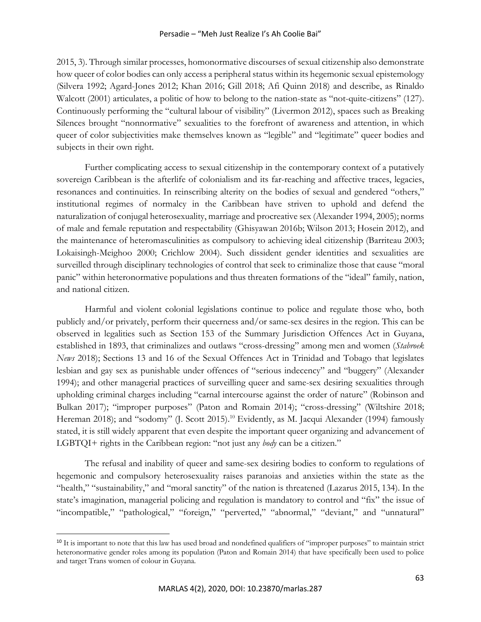2015, 3). Through similar processes, homonormative discourses of sexual citizenship also demonstrate how queer of color bodies can only access a peripheral status within its hegemonic sexual epistemology (Silvera 1992; Agard-Jones 2012; Khan 2016; Gill 2018; Afi Quinn 2018) and describe, as Rinaldo Walcott (2001) articulates, a politic of how to belong to the nation-state as "not-quite-citizens" (127). Continuously performing the "cultural labour of visibility" (Livermon 2012), spaces such as Breaking Silences brought "nonnormative" sexualities to the forefront of awareness and attention, in which queer of color subjectivities make themselves known as "legible" and "legitimate" queer bodies and subjects in their own right.

Further complicating access to sexual citizenship in the contemporary context of a putatively sovereign Caribbean is the afterlife of colonialism and its far-reaching and affective traces, legacies, resonances and continuities. In reinscribing alterity on the bodies of sexual and gendered "others," institutional regimes of normalcy in the Caribbean have striven to uphold and defend the naturalization of conjugal heterosexuality, marriage and procreative sex (Alexander 1994, 2005); norms of male and female reputation and respectability (Ghisyawan 2016b; Wilson 2013; Hosein 2012), and the maintenance of heteromasculinities as compulsory to achieving ideal citizenship (Barriteau 2003; Lokaisingh-Meighoo 2000; Crichlow 2004). Such dissident gender identities and sexualities are surveilled through disciplinary technologies of control that seek to criminalize those that cause "moral panic" within heteronormative populations and thus threaten formations of the "ideal" family, nation, and national citizen.

Harmful and violent colonial legislations continue to police and regulate those who, both publicly and/or privately, perform their queerness and/or same-sex desires in the region. This can be observed in legalities such as Section 153 of the Summary Jurisdiction Offences Act in Guyana, established in 1893, that criminalizes and outlaws "cross-dressing" among men and women (*Stabroek News* 2018); Sections 13 and 16 of the Sexual Offences Act in Trinidad and Tobago that legislates lesbian and gay sex as punishable under offences of "serious indecency" and "buggery" (Alexander 1994); and other managerial practices of surveilling queer and same-sex desiring sexualities through upholding criminal charges including "carnal intercourse against the order of nature" (Robinson and Bulkan 2017); "improper purposes" (Paton and Romain 2014); "cross-dressing" (Wiltshire 2018; Hereman 2018); and "sodomy" (J. Scott 2015).<sup>10</sup> Evidently, as M. Jacqui Alexander (1994) famously stated, it is still widely apparent that even despite the important queer organizing and advancement of LGBTQI+ rights in the Caribbean region: "not just any *body* can be a citizen."

The refusal and inability of queer and same-sex desiring bodies to conform to regulations of hegemonic and compulsory heterosexuality raises paranoias and anxieties within the state as the "health," "sustainability," and "moral sanctity" of the nation is threatened (Lazarus 2015, 134). In the state's imagination, managerial policing and regulation is mandatory to control and "fix" the issue of "incompatible," "pathological," "foreign," "perverted," "abnormal," "deviant," and "unnatural"

<sup>&</sup>lt;sup>10</sup> It is important to note that this law has used broad and nondefined qualifiers of "improper purposes" to maintain strict heteronormative gender roles among its population (Paton and Romain 2014) that have specifically been used to police and target Trans women of colour in Guyana.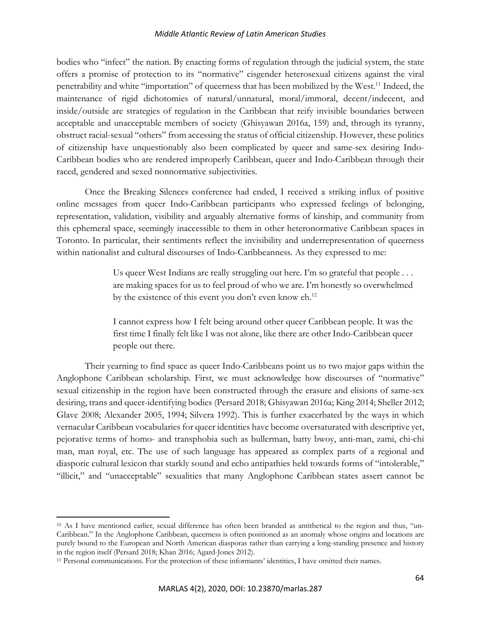bodies who "infect" the nation. By enacting forms of regulation through the judicial system, the state offers a promise of protection to its "normative" cisgender heterosexual citizens against the viral penetrability and white "importation" of queerness that has been mobilized by the West.<sup>11</sup> Indeed, the maintenance of rigid dichotomies of natural/unnatural, moral/immoral, decent/indecent, and inside/outside are strategies of regulation in the Caribbean that reify invisible boundaries between acceptable and unacceptable members of society (Ghisyawan 2016a, 159) and, through its tyranny, obstruct racial-sexual "others" from accessing the status of official citizenship. However, these politics of citizenship have unquestionably also been complicated by queer and same-sex desiring Indo-Caribbean bodies who are rendered improperly Caribbean, queer and Indo-Caribbean through their raced, gendered and sexed nonnormative subjectivities.

Once the Breaking Silences conference had ended, I received a striking influx of positive online messages from queer Indo-Caribbean participants who expressed feelings of belonging, representation, validation, visibility and arguably alternative forms of kinship, and community from this ephemeral space, seemingly inaccessible to them in other heteronormative Caribbean spaces in Toronto. In particular, their sentiments reflect the invisibility and underrepresentation of queerness within nationalist and cultural discourses of Indo-Caribbeanness. As they expressed to me:

> Us queer West Indians are really struggling out here. I'm so grateful that people . . . are making spaces for us to feel proud of who we are. I'm honestly so overwhelmed by the existence of this event you don't even know eh.<sup>12</sup>

> I cannot express how I felt being around other queer Caribbean people. It was the first time I finally felt like I was not alone, like there are other Indo-Caribbean queer people out there.

Their yearning to find space as queer Indo-Caribbeans point us to two major gaps within the Anglophone Caribbean scholarship. First, we must acknowledge how discourses of "normative" sexual citizenship in the region have been constructed through the erasure and elisions of same-sex desiring, trans and queer-identifying bodies (Persard 2018; Ghisyawan 2016a; King 2014; Sheller 2012; Glave 2008; Alexander 2005, 1994; Silvera 1992). This is further exacerbated by the ways in which vernacular Caribbean vocabularies for queer identities have become oversaturated with descriptive yet, pejorative terms of homo- and transphobia such as bullerman, batty bwoy, anti-man, zami, chi-chi man, man royal, etc. The use of such language has appeared as complex parts of a regional and diasporic cultural lexicon that starkly sound and echo antipathies held towards forms of "intolerable," "illicit," and "unacceptable" sexualities that many Anglophone Caribbean states assert cannot be

<sup>10</sup> As I have mentioned earlier, sexual difference has often been branded as antithetical to the region and thus, "un-Caribbean." In the Anglophone Caribbean, queerness is often positioned as an anomaly whose origins and locations are purely bound to the European and North American diasporas rather than carrying a long-standing presence and history in the region itself (Persard 2018; Khan 2016; Agard-Jones 2012).

<sup>11</sup> Personal communications. For the protection of these informants' identities, I have omitted their names.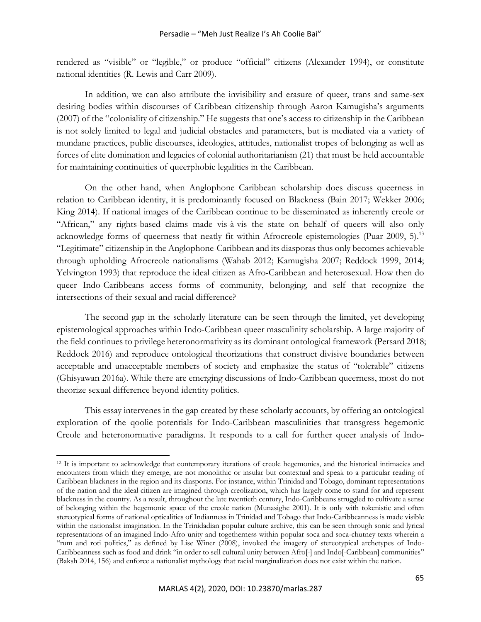rendered as "visible" or "legible," or produce "official" citizens (Alexander 1994), or constitute national identities (R. Lewis and Carr 2009).

In addition, we can also attribute the invisibility and erasure of queer, trans and same-sex desiring bodies within discourses of Caribbean citizenship through Aaron Kamugisha's arguments (2007) of the "coloniality of citizenship." He suggests that one's access to citizenship in the Caribbean is not solely limited to legal and judicial obstacles and parameters, but is mediated via a variety of mundane practices, public discourses, ideologies, attitudes, nationalist tropes of belonging as well as forces of elite domination and legacies of colonial authoritarianism (21) that must be held accountable for maintaining continuities of queerphobic legalities in the Caribbean.

On the other hand, when Anglophone Caribbean scholarship does discuss queerness in relation to Caribbean identity, it is predominantly focused on Blackness (Bain 2017; Wekker 2006; King 2014). If national images of the Caribbean continue to be disseminated as inherently creole or "African," any rights-based claims made vis-à-vis the state on behalf of queers will also only acknowledge forms of queerness that neatly fit within Afrocreole epistemologies (Puar 2009, 5).<sup>13</sup> "Legitimate" citizenship in the Anglophone-Caribbean and its diasporas thus only becomes achievable through upholding Afrocreole nationalisms (Wahab 2012; Kamugisha 2007; Reddock 1999, 2014; Yelvington 1993) that reproduce the ideal citizen as Afro-Caribbean and heterosexual. How then do queer Indo-Caribbeans access forms of community, belonging, and self that recognize the intersections of their sexual and racial difference?

The second gap in the scholarly literature can be seen through the limited, yet developing epistemological approaches within Indo-Caribbean queer masculinity scholarship. A large majority of the field continues to privilege heteronormativity as its dominant ontological framework (Persard 2018; Reddock 2016) and reproduce ontological theorizations that construct divisive boundaries between acceptable and unacceptable members of society and emphasize the status of "tolerable" citizens (Ghisyawan 2016a). While there are emerging discussions of Indo-Caribbean queerness, most do not theorize sexual difference beyond identity politics.

This essay intervenes in the gap created by these scholarly accounts, by offering an ontological exploration of the qoolie potentials for Indo-Caribbean masculinities that transgress hegemonic Creole and heteronormative paradigms. It responds to a call for further queer analysis of Indo-

<sup>&</sup>lt;sup>12</sup> It is important to acknowledge that contemporary iterations of creole hegemonies, and the historical intimacies and encounters from which they emerge, are not monolithic or insular but contextual and speak to a particular reading of Caribbean blackness in the region and its diasporas. For instance, within Trinidad and Tobago, dominant representations of the nation and the ideal citizen are imagined through creolization, which has largely come to stand for and represent blackness in the country. As a result, throughout the late twentieth century, Indo-Caribbeans struggled to cultivate a sense of belonging within the hegemonic space of the creole nation (Munasighe 2001). It is only with tokenistic and often stereotypical forms of national opticalities of Indianness in Trinidad and Tobago that Indo-Caribbeanness is made visible within the nationalist imagination. In the Trinidadian popular culture archive, this can be seen through sonic and lyrical representations of an imagined Indo-Afro unity and togetherness within popular soca and soca-chutney texts wherein a "rum and roti politics," as defined by Lise Winer (2008), invoked the imagery of stereotypical archetypes of Indo-Caribbeanness such as food and drink "in order to sell cultural unity between Afro[-] and Indo[-Caribbean] communities" (Baksh 2014, 156) and enforce a nationalist mythology that racial marginalization does not exist within the nation.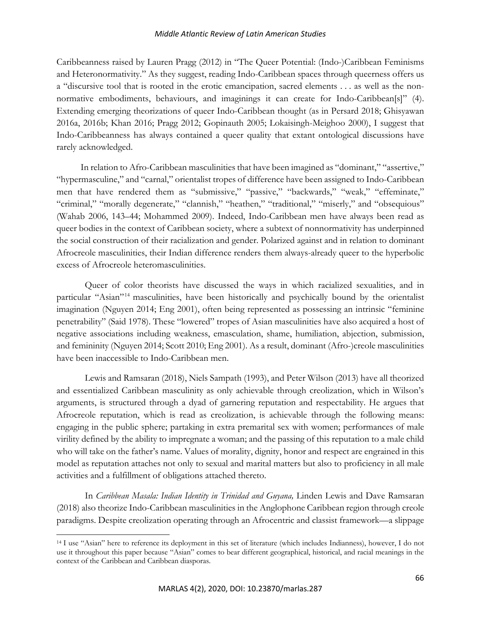Caribbeanness raised by Lauren Pragg (2012) in "The Queer Potential: (Indo-)Caribbean Feminisms and Heteronormativity." As they suggest, reading Indo-Caribbean spaces through queerness offers us a "discursive tool that is rooted in the erotic emancipation, sacred elements . . . as well as the nonnormative embodiments, behaviours, and imaginings it can create for Indo-Caribbean[s]" (4). Extending emerging theorizations of queer Indo-Caribbean thought (as in Persard 2018; Ghisyawan 2016a, 2016b; Khan 2016; Pragg 2012; Gopinauth 2005; Lokaisingh-Meighoo 2000), I suggest that Indo-Caribbeanness has always contained a queer quality that extant ontological discussions have rarely acknowledged.

In relation to Afro-Caribbean masculinities that have been imagined as "dominant," "assertive," "hypermasculine," and "carnal," orientalist tropes of difference have been assigned to Indo-Caribbean men that have rendered them as "submissive," "passive," "backwards," "weak," "effeminate," "criminal," "morally degenerate," "clannish," "heathen," "traditional," "miserly," and "obsequious" (Wahab 2006, 143–44; Mohammed 2009). Indeed, Indo-Caribbean men have always been read as queer bodies in the context of Caribbean society, where a subtext of nonnormativity has underpinned the social construction of their racialization and gender. Polarized against and in relation to dominant Afrocreole masculinities, their Indian difference renders them always-already queer to the hyperbolic excess of Afrocreole heteromasculinities.

Queer of color theorists have discussed the ways in which racialized sexualities, and in particular "Asian"<sup>14</sup> masculinities, have been historically and psychically bound by the orientalist imagination (Nguyen 2014; Eng 2001), often being represented as possessing an intrinsic "feminine penetrability" (Said 1978). These "lowered" tropes of Asian masculinities have also acquired a host of negative associations including weakness, emasculation, shame, humiliation, abjection, submission, and femininity (Nguyen 2014; Scott 2010; Eng 2001). As a result, dominant (Afro-)creole masculinities have been inaccessible to Indo-Caribbean men.

Lewis and Ramsaran (2018), Niels Sampath (1993), and Peter Wilson (2013) have all theorized and essentialized Caribbean masculinity as only achievable through creolization, which in Wilson's arguments, is structured through a dyad of garnering reputation and respectability. He argues that Afrocreole reputation, which is read as creolization, is achievable through the following means: engaging in the public sphere; partaking in extra premarital sex with women; performances of male virility defined by the ability to impregnate a woman; and the passing of this reputation to a male child who will take on the father's name. Values of morality, dignity, honor and respect are engrained in this model as reputation attaches not only to sexual and marital matters but also to proficiency in all male activities and a fulfillment of obligations attached thereto.

In *Caribbean Masala: Indian Identity in Trinidad and Guyana,* Linden Lewis and Dave Ramsaran (2018) also theorize Indo-Caribbean masculinities in the Anglophone Caribbean region through creole paradigms. Despite creolization operating through an Afrocentric and classist framework—a slippage

<sup>14</sup> I use "Asian" here to reference its deployment in this set of literature (which includes Indianness), however, I do not use it throughout this paper because "Asian" comes to bear different geographical, historical, and racial meanings in the context of the Caribbean and Caribbean diasporas.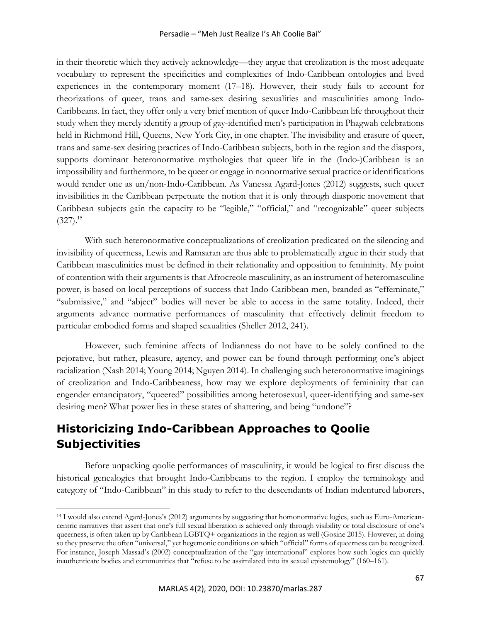in their theoretic which they actively acknowledge—they argue that creolization is the most adequate vocabulary to represent the specificities and complexities of Indo-Caribbean ontologies and lived experiences in the contemporary moment (17–18). However, their study fails to account for theorizations of queer, trans and same-sex desiring sexualities and masculinities among Indo-Caribbeans. In fact, they offer only a very brief mention of queer Indo-Caribbean life throughout their study when they merely identify a group of gay-identified men's participation in Phagwah celebrations held in Richmond Hill, Queens, New York City, in one chapter. The invisibility and erasure of queer, trans and same-sex desiring practices of Indo-Caribbean subjects, both in the region and the diaspora, supports dominant heteronormative mythologies that queer life in the (Indo-)Caribbean is an impossibility and furthermore, to be queer or engage in nonnormative sexual practice or identifications would render one as un/non-Indo-Caribbean. As Vanessa Agard-Jones (2012) suggests, such queer invisibilities in the Caribbean perpetuate the notion that it is only through diasporic movement that Caribbean subjects gain the capacity to be "legible," "official," and "recognizable" queer subjects  $(327).^{15}$ 

With such heteronormative conceptualizations of creolization predicated on the silencing and invisibility of queerness, Lewis and Ramsaran are thus able to problematically argue in their study that Caribbean masculinities must be defined in their relationality and opposition to femininity. My point of contention with their arguments is that Afrocreole masculinity, as an instrument of heteromasculine power, is based on local perceptions of success that Indo-Caribbean men, branded as "effeminate," "submissive," and "abject" bodies will never be able to access in the same totality. Indeed, their arguments advance normative performances of masculinity that effectively delimit freedom to particular embodied forms and shaped sexualities (Sheller 2012, 241).

However, such feminine affects of Indianness do not have to be solely confined to the pejorative, but rather, pleasure, agency, and power can be found through performing one's abject racialization (Nash 2014; Young 2014; Nguyen 2014). In challenging such heteronormative imaginings of creolization and Indo-Caribbeaness, how may we explore deployments of femininity that can engender emancipatory, "queered" possibilities among heterosexual, queer-identifying and same-sex desiring men? What power lies in these states of shattering, and being "undone"?

# **Historicizing Indo-Caribbean Approaches to Qoolie Subjectivities**

Before unpacking qoolie performances of masculinity, it would be logical to first discuss the historical genealogies that brought Indo-Caribbeans to the region. I employ the terminology and category of "Indo-Caribbean" in this study to refer to the descendants of Indian indentured laborers,

<sup>14</sup> I would also extend Agard-Jones's (2012) arguments by suggesting that homonormative logics, such as Euro-Americancentric narratives that assert that one's full sexual liberation is achieved only through visibility or total disclosure of one's queerness, is often taken up by Caribbean LGBTQ+ organizations in the region as well (Gosine 2015). However, in doing so they preserve the often "universal," yet hegemonic conditions on which "official" forms of queerness can be recognized. For instance, Joseph Massad's (2002) conceptualization of the "gay international" explores how such logics can quickly inauthenticate bodies and communities that "refuse to be assimilated into its sexual epistemology" (160–161).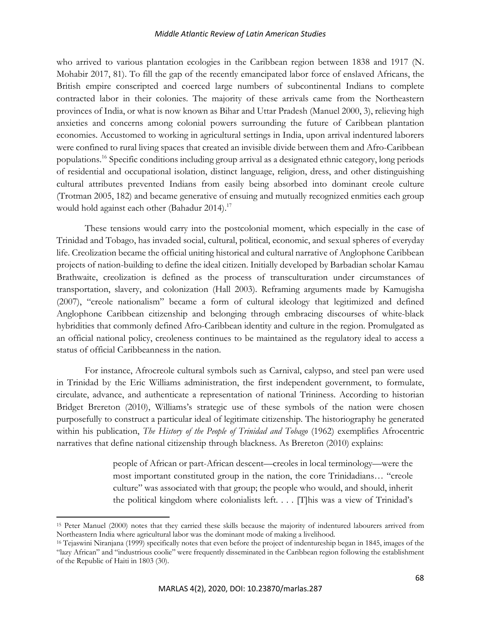who arrived to various plantation ecologies in the Caribbean region between 1838 and 1917 (N. Mohabir 2017, 81). To fill the gap of the recently emancipated labor force of enslaved Africans, the British empire conscripted and coerced large numbers of subcontinental Indians to complete contracted labor in their colonies. The majority of these arrivals came from the Northeastern provinces of India, or what is now known as Bihar and Uttar Pradesh (Manuel 2000, 3), relieving high anxieties and concerns among colonial powers surrounding the future of Caribbean plantation economies. Accustomed to working in agricultural settings in India, upon arrival indentured laborers were confined to rural living spaces that created an invisible divide between them and Afro-Caribbean populations.16 Specific conditions including group arrival as a designated ethnic category, long periods of residential and occupational isolation, distinct language, religion, dress, and other distinguishing cultural attributes prevented Indians from easily being absorbed into dominant creole culture (Trotman 2005, 182) and became generative of ensuing and mutually recognized enmities each group would hold against each other (Bahadur 2014).<sup>17</sup>

These tensions would carry into the postcolonial moment, which especially in the case of Trinidad and Tobago, has invaded social, cultural, political, economic, and sexual spheres of everyday life. Creolization became the official uniting historical and cultural narrative of Anglophone Caribbean projects of nation-building to define the ideal citizen. Initially developed by Barbadian scholar Kamau Brathwaite, creolization is defined as the process of transculturation under circumstances of transportation, slavery, and colonization (Hall 2003). Reframing arguments made by Kamugisha (2007), "creole nationalism" became a form of cultural ideology that legitimized and defined Anglophone Caribbean citizenship and belonging through embracing discourses of white-black hybridities that commonly defined Afro-Caribbean identity and culture in the region. Promulgated as an official national policy, creoleness continues to be maintained as the regulatory ideal to access a status of official Caribbeanness in the nation.

For instance, Afrocreole cultural symbols such as Carnival, calypso, and steel pan were used in Trinidad by the Eric Williams administration, the first independent government, to formulate, circulate, advance, and authenticate a representation of national Trininess. According to historian Bridget Brereton (2010), Williams's strategic use of these symbols of the nation were chosen purposefully to construct a particular ideal of legitimate citizenship. The historiography he generated within his publication, *The History of the People of Trinidad and Tobago* (1962) exemplifies Afrocentric narratives that define national citizenship through blackness. As Brereton (2010) explains:

> people of African or part-African descent—creoles in local terminology—were the most important constituted group in the nation, the core Trinidadians… "creole culture" was associated with that group; the people who would, and should, inherit the political kingdom where colonialists left. . . . [T]his was a view of Trinidad's

<sup>15</sup> Peter Manuel (2000) notes that they carried these skills because the majority of indentured labourers arrived from Northeastern India where agricultural labor was the dominant mode of making a livelihood. 16 Tejaswini Niranjana (1999) specifically notes that even before the project of indentureship began in 1845, images of the

<sup>&</sup>quot;lazy African" and "industrious coolie" were frequently disseminated in the Caribbean region following the establishment of the Republic of Haiti in 1803 (30).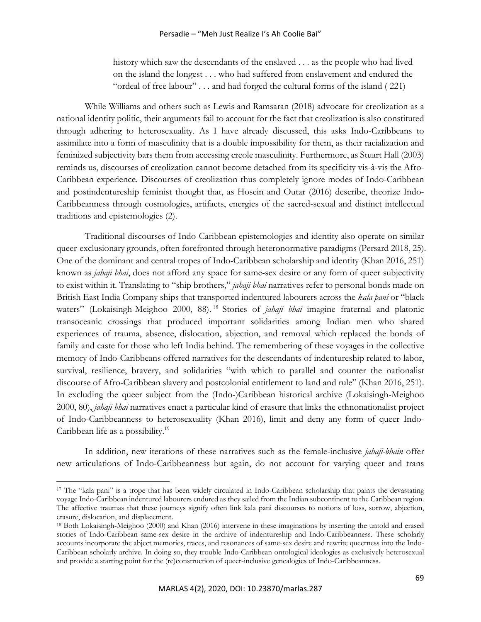history which saw the descendants of the enslaved . . . as the people who had lived on the island the longest . . . who had suffered from enslavement and endured the "ordeal of free labour" . . . and had forged the cultural forms of the island ( 221)

While Williams and others such as Lewis and Ramsaran (2018) advocate for creolization as a national identity politic, their arguments fail to account for the fact that creolization is also constituted through adhering to heterosexuality. As I have already discussed, this asks Indo-Caribbeans to assimilate into a form of masculinity that is a double impossibility for them, as their racialization and feminized subjectivity bars them from accessing creole masculinity. Furthermore, as Stuart Hall (2003) reminds us, discourses of creolization cannot become detached from its specificity vis-à-vis the Afro-Caribbean experience. Discourses of creolization thus completely ignore modes of Indo-Caribbean and postindentureship feminist thought that, as Hosein and Outar (2016) describe, theorize Indo-Caribbeanness through cosmologies, artifacts, energies of the sacred-sexual and distinct intellectual traditions and epistemologies (2).

Traditional discourses of Indo-Caribbean epistemologies and identity also operate on similar queer-exclusionary grounds, often forefronted through heteronormative paradigms (Persard 2018, 25). One of the dominant and central tropes of Indo-Caribbean scholarship and identity (Khan 2016, 251) known as *jahaji bhai*, does not afford any space for same-sex desire or any form of queer subjectivity to exist within it. Translating to "ship brothers," *jahaji bhai* narratives refer to personal bonds made on British East India Company ships that transported indentured labourers across the *kala pani* or "black waters" (Lokaisingh-Meighoo 2000, 88).<sup>18</sup> Stories of *jahaji bhai* imagine fraternal and platonic transoceanic crossings that produced important solidarities among Indian men who shared experiences of trauma, absence, dislocation, abjection, and removal which replaced the bonds of family and caste for those who left India behind. The remembering of these voyages in the collective memory of Indo-Caribbeans offered narratives for the descendants of indentureship related to labor, survival, resilience, bravery, and solidarities "with which to parallel and counter the nationalist discourse of Afro-Caribbean slavery and postcolonial entitlement to land and rule" (Khan 2016, 251). In excluding the queer subject from the (Indo-)Caribbean historical archive (Lokaisingh-Meighoo 2000, 80), *jahaji bhai* narratives enact a particular kind of erasure that links the ethnonationalist project of Indo-Caribbeanness to heterosexuality (Khan 2016), limit and deny any form of queer Indo-Caribbean life as a possibility.<sup>19</sup>

In addition, new iterations of these narratives such as the female-inclusive *jahaji-bhain* offer new articulations of Indo-Caribbeanness but again, do not account for varying queer and trans

<sup>17</sup> The "kala pani" is a trope that has been widely circulated in Indo-Caribbean scholarship that paints the devastating voyage Indo-Caribbean indentured labourers endured as they sailed from the Indian subcontinent to the Caribbean region. The affective traumas that these journeys signify often link kala pani discourses to notions of loss, sorrow, abjection, erasure, dislocation, and displacement.<br><sup>18</sup> Both Lokaisingh-Meighoo (2000) and Khan (2016) intervene in these imaginations by inserting the untold and erased

stories of Indo-Caribbean same-sex desire in the archive of indentureship and Indo-Caribbeanness. These scholarly accounts incorporate the abject memories, traces, and resonances of same-sex desire and rewrite queerness into the Indo-Caribbean scholarly archive. In doing so, they trouble Indo-Caribbean ontological ideologies as exclusively heterosexual and provide a starting point for the (re)construction of queer-inclusive genealogies of Indo-Caribbeanness.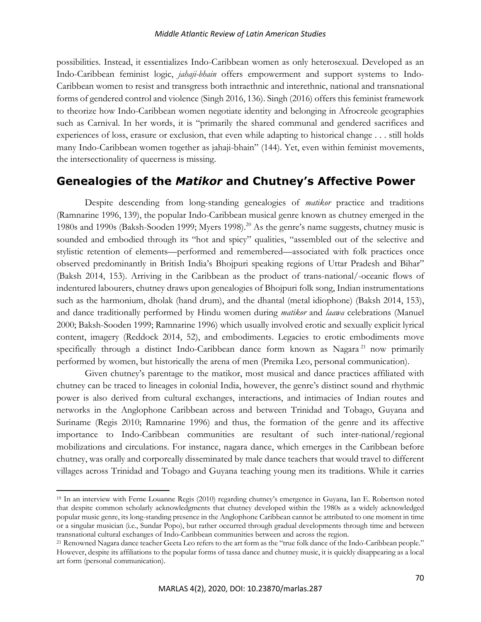possibilities. Instead, it essentializes Indo-Caribbean women as only heterosexual. Developed as an Indo-Caribbean feminist logic, *jahaji-bhain* offers empowerment and support systems to Indo-Caribbean women to resist and transgress both intraethnic and interethnic, national and transnational forms of gendered control and violence (Singh 2016, 136). Singh (2016) offers this feminist framework to theorize how Indo-Caribbean women negotiate identity and belonging in Afrocreole geographies such as Carnival. In her words, it is "primarily the shared communal and gendered sacrifices and experiences of loss, erasure or exclusion, that even while adapting to historical change . . . still holds many Indo-Caribbean women together as jahaji-bhain" (144). Yet, even within feminist movements, the intersectionality of queerness is missing.

# **Genealogies of the** *Matikor* **and Chutney's Affective Power**

Despite descending from long-standing genealogies of *matikor* practice and traditions (Ramnarine 1996, 139), the popular Indo-Caribbean musical genre known as chutney emerged in the 1980s and 1990s (Baksh-Sooden 1999; Myers 1998).<sup>20</sup> As the genre's name suggests, chutney music is sounded and embodied through its "hot and spicy" qualities, "assembled out of the selective and stylistic retention of elements—performed and remembered—associated with folk practices once observed predominantly in British India's Bhojpuri speaking regions of Uttar Pradesh and Bihar" (Baksh 2014, 153). Arriving in the Caribbean as the product of trans-national/-oceanic flows of indentured labourers, chutney draws upon genealogies of Bhojpuri folk song, Indian instrumentations such as the harmonium, dholak (hand drum), and the dhantal (metal idiophone) (Baksh 2014, 153), and dance traditionally performed by Hindu women during *matikor* and *laawa* celebrations (Manuel 2000; Baksh-Sooden 1999; Ramnarine 1996) which usually involved erotic and sexually explicit lyrical content, imagery (Reddock 2014, 52), and embodiments. Legacies to erotic embodiments move specifically through a distinct Indo-Caribbean dance form known as Nagara<sup>21</sup> now primarily performed by women, but historically the arena of men (Premika Leo, personal communication).

Given chutney's parentage to the matikor, most musical and dance practices affiliated with chutney can be traced to lineages in colonial India, however, the genre's distinct sound and rhythmic power is also derived from cultural exchanges, interactions, and intimacies of Indian routes and networks in the Anglophone Caribbean across and between Trinidad and Tobago, Guyana and Suriname (Regis 2010; Ramnarine 1996) and thus, the formation of the genre and its affective importance to Indo-Caribbean communities are resultant of such inter-national/regional mobilizations and circulations. For instance, nagara dance, which emerges in the Caribbean before chutney, was orally and corporeally disseminated by male dance teachers that would travel to different villages across Trinidad and Tobago and Guyana teaching young men its traditions. While it carries

<sup>19</sup> In an interview with Ferne Louanne Regis (2010) regarding chutney's emergence in Guyana, Ian E. Robertson noted that despite common scholarly acknowledgments that chutney developed within the 1980s as a widely acknowledged popular music genre, its long-standing presence in the Anglophone Caribbean cannot be attributed to one moment in time or a singular musician (i.e., Sundar Popo), but rather occurred through gradual developments through time and between

<sup>&</sup>lt;sup>21</sup> Renowned Nagara dance teacher Geeta Leo refers to the art form as the "true folk dance of the Indo-Caribbean people." However, despite its affiliations to the popular forms of tassa dance and chutney music, it is quickly disappearing as a local art form (personal communication).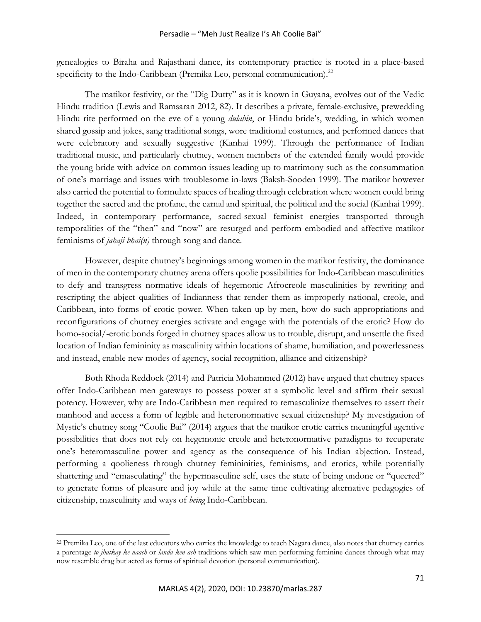genealogies to Biraha and Rajasthani dance, its contemporary practice is rooted in a place-based specificity to the Indo-Caribbean (Premika Leo, personal communication).<sup>22</sup>

The matikor festivity, or the "Dig Dutty" as it is known in Guyana, evolves out of the Vedic Hindu tradition (Lewis and Ramsaran 2012, 82). It describes a private, female-exclusive, prewedding Hindu rite performed on the eve of a young *dulahin*, or Hindu bride's, wedding, in which women shared gossip and jokes, sang traditional songs, wore traditional costumes, and performed dances that were celebratory and sexually suggestive (Kanhai 1999). Through the performance of Indian traditional music, and particularly chutney, women members of the extended family would provide the young bride with advice on common issues leading up to matrimony such as the consummation of one's marriage and issues with troublesome in-laws (Baksh-Sooden 1999). The matikor however also carried the potential to formulate spaces of healing through celebration where women could bring together the sacred and the profane, the carnal and spiritual, the political and the social (Kanhai 1999). Indeed, in contemporary performance, sacred-sexual feminist energies transported through temporalities of the "then" and "now" are resurged and perform embodied and affective matikor feminisms of *jahaji bhai(n)* through song and dance.

However, despite chutney's beginnings among women in the matikor festivity, the dominance of men in the contemporary chutney arena offers qoolie possibilities for Indo-Caribbean masculinities to defy and transgress normative ideals of hegemonic Afrocreole masculinities by rewriting and rescripting the abject qualities of Indianness that render them as improperly national, creole, and Caribbean, into forms of erotic power. When taken up by men, how do such appropriations and reconfigurations of chutney energies activate and engage with the potentials of the erotic? How do homo-social/-erotic bonds forged in chutney spaces allow us to trouble, disrupt, and unsettle the fixed location of Indian femininity as masculinity within locations of shame, humiliation, and powerlessness and instead, enable new modes of agency, social recognition, alliance and citizenship?

Both Rhoda Reddock (2014) and Patricia Mohammed (2012) have argued that chutney spaces offer Indo-Caribbean men gateways to possess power at a symbolic level and affirm their sexual potency. However, why are Indo-Caribbean men required to remasculinize themselves to assert their manhood and access a form of legible and heteronormative sexual citizenship? My investigation of Mystic's chutney song "Coolie Bai" (2014) argues that the matikor erotic carries meaningful agentive possibilities that does not rely on hegemonic creole and heteronormative paradigms to recuperate one's heteromasculine power and agency as the consequence of his Indian abjection. Instead, performing a qoolieness through chutney femininities, feminisms, and erotics, while potentially shattering and "emasculating" the hypermasculine self, uses the state of being undone or "queered" to generate forms of pleasure and joy while at the same time cultivating alternative pedagogies of citizenship, masculinity and ways of *being* Indo-Caribbean.

<sup>&</sup>lt;sup>22</sup> Premika Leo, one of the last educators who carries the knowledge to teach Nagara dance, also notes that chutney carries a parentage *to jhatkay ke naach* or *landa ken ach* traditions which saw men performing feminine dances through what may now resemble drag but acted as forms of spiritual devotion (personal communication).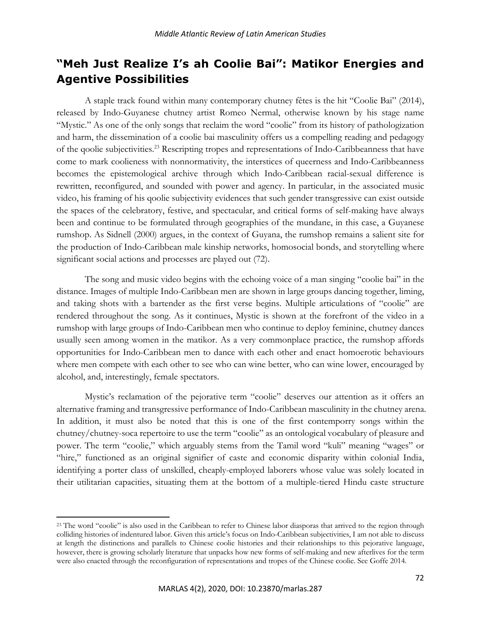# **"Meh Just Realize I's ah Coolie Bai": Matikor Energies and Agentive Possibilities**

A staple track found within many contemporary chutney fêtes is the hit "Coolie Bai" (2014), released by Indo-Guyanese chutney artist Romeo Nermal, otherwise known by his stage name "Mystic." As one of the only songs that reclaim the word "coolie" from its history of pathologization and harm, the dissemination of a coolie bai masculinity offers us a compelling reading and pedagogy of the qoolie subjectivities.23 Rescripting tropes and representations of Indo-Caribbeanness that have come to mark coolieness with nonnormativity, the interstices of queerness and Indo-Caribbeanness becomes the epistemological archive through which Indo-Caribbean racial-sexual difference is rewritten, reconfigured, and sounded with power and agency. In particular, in the associated music video, his framing of his qoolie subjectivity evidences that such gender transgressive can exist outside the spaces of the celebratory, festive, and spectacular, and critical forms of self-making have always been and continue to be formulated through geographies of the mundane, in this case, a Guyanese rumshop. As Sidnell (2000) argues, in the context of Guyana, the rumshop remains a salient site for the production of Indo-Caribbean male kinship networks, homosocial bonds, and storytelling where significant social actions and processes are played out (72).

The song and music video begins with the echoing voice of a man singing "coolie bai" in the distance. Images of multiple Indo-Caribbean men are shown in large groups dancing together, liming, and taking shots with a bartender as the first verse begins. Multiple articulations of "coolie" are rendered throughout the song. As it continues, Mystic is shown at the forefront of the video in a rumshop with large groups of Indo-Caribbean men who continue to deploy feminine, chutney dances usually seen among women in the matikor. As a very commonplace practice, the rumshop affords opportunities for Indo-Caribbean men to dance with each other and enact homoerotic behaviours where men compete with each other to see who can wine better, who can wine lower, encouraged by alcohol, and, interestingly, female spectators.

Mystic's reclamation of the pejorative term "coolie" deserves our attention as it offers an alternative framing and transgressive performance of Indo-Caribbean masculinity in the chutney arena. In addition, it must also be noted that this is one of the first contemporry songs within the chutney/chutney-soca repertoire to use the term "coolie" as an ontological vocabulary of pleasure and power. The term "coolie," which arguably stems from the Tamil word "kuli" meaning "wages" or "hire," functioned as an original signifier of caste and economic disparity within colonial India, identifying a porter class of unskilled, cheaply-employed laborers whose value was solely located in their utilitarian capacities, situating them at the bottom of a multiple-tiered Hindu caste structure

<sup>&</sup>lt;sup>23</sup> The word "coolie" is also used in the Caribbean to refer to Chinese labor diasporas that arrived to the region through colliding histories of indentured labor. Given this article's focus on Indo-Caribbean subjectivities, I am not able to discuss at length the distinctions and parallels to Chinese coolie histories and their relationships to this pejorative language, however, there is growing scholarly literature that unpacks how new forms of self-making and new afterlives for the term were also enacted through the reconfiguration of representations and tropes of the Chinese coolie. See Goffe 2014.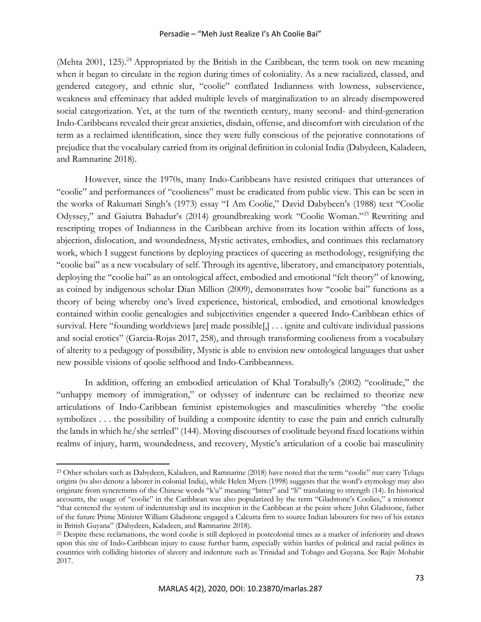(Mehta 2001, 125).<sup>24</sup> Appropriated by the British in the Caribbean, the term took on new meaning when it began to circulate in the region during times of coloniality. As a new racialized, classed, and gendered category, and ethnic slur, "coolie" conflated Indianness with lowness, subservience, weakness and effeminacy that added multiple levels of marginalization to an already disempowered social categorization. Yet, at the turn of the twentieth century, many second- and third-generation Indo-Caribbeans revealed their great anxieties, disdain, offense, and discomfort with circulation of the term as a reclaimed identification, since they were fully conscious of the pejorative connotations of prejudice that the vocabulary carried from its original definition in colonial India (Dabydeen, Kaladeen, and Ramnarine 2018).

However, since the 1970s, many Indo-Caribbeans have resisted critiques that utterances of "coolie" and performances of "coolieness" must be eradicated from public view. This can be seen in the works of Rakumari Singh's (1973) essay "I Am Coolie," David Dabybeen's (1988) text "Coolie Odyssey," and Gaiutra Bahadur's (2014) groundbreaking work "Coolie Woman."25 Rewriting and rescripting tropes of Indianness in the Caribbean archive from its location within affects of loss, abjection, dislocation, and woundedness, Mystic activates, embodies, and continues this reclamatory work, which I suggest functions by deploying practices of queering as methodology, resignifying the "coolie bai" as a new vocabulary of self. Through its agentive, liberatory, and emancipatory potentials, deploying the "coolie bai" as an ontological affect, embodied and emotional "felt theory" of knowing, as coined by indigenous scholar Dian Million (2009), demonstrates how "coolie bai" functions as a theory of being whereby one's lived experience, historical, embodied, and emotional knowledges contained within coolie genealogies and subjectivities engender a queered Indo-Caribbean ethics of survival. Here "founding worldviews [are] made possible[,] . . . ignite and cultivate individual passions and social erotics" (Garcia-Rojas 2017, 258), and through transforming coolieness from a vocabulary of alterity to a pedagogy of possibility, Mystic is able to envision new ontological languages that usher new possible visions of qoolie selfhood and Indo-Caribbeanness.

In addition, offering an embodied articulation of Khal Torabully's (2002) "coolitude," the "unhappy memory of immigration," or odyssey of indenture can be reclaimed to theorize new articulations of Indo-Caribbean feminist epistemologies and masculinities whereby "the coolie symbolizes . . . the possibility of building a composite identity to ease the pain and enrich culturally the lands in which he/she settled" (144). Moving discourses of coolitude beyond fixed locations within realms of injury, harm, woundedness, and recovery, Mystic's articulation of a coolie bai masculinity

<sup>&</sup>lt;sup>23</sup> Other scholars such as Dabydeen, Kaladeen, and Ramnarine (2018) have noted that the term "coolie" may carry Telugu origins (to also denote a laborer in colonial India), while Helen Myers (1998) suggests that the word's etymology may also originate from syncretisms of the Chinese words "k'u" meaning "bitter" and "li" translating to strength (14). In historical accounts, the usage of "coolie" in the Caribbean was also popularized by the term "Gladstone's Coolies," a misnomer "that centered the system of indentureship and its inception in the Caribbean at the point where John Gladstone, father of the future Prime Minister William Gladstone engaged a Calcutta firm to source Indian labourers for two of his estates in British Guyana" (Dabydeen, Kaladeen, and Ramnarine 2018). 25 Despite these reclamations, the word coolie is still deployed in postcolonial times as a marker of inferiority and draws

upon this site of Indo-Caribbean injury to cause further harm, especially within battles of political and racial politics in countries with colliding histories of slavery and indenture such as Trinidad and Tobago and Guyana. See Rajiv Mohabir 2017.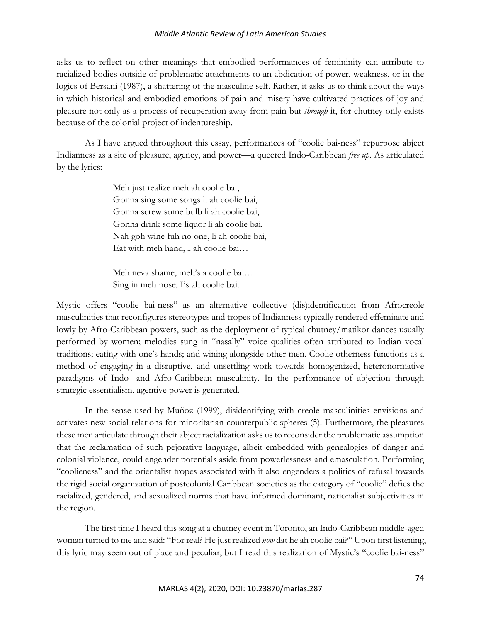asks us to reflect on other meanings that embodied performances of femininity can attribute to racialized bodies outside of problematic attachments to an abdication of power, weakness, or in the logics of Bersani (1987), a shattering of the masculine self. Rather, it asks us to think about the ways in which historical and embodied emotions of pain and misery have cultivated practices of joy and pleasure not only as a process of recuperation away from pain but *through* it, for chutney only exists because of the colonial project of indentureship.

As I have argued throughout this essay, performances of "coolie bai-ness" repurpose abject Indianness as a site of pleasure, agency, and power—a queered Indo-Caribbean *free up.* As articulated by the lyrics:

> Meh just realize meh ah coolie bai, Gonna sing some songs li ah coolie bai, Gonna screw some bulb li ah coolie bai, Gonna drink some liquor li ah coolie bai, Nah goh wine fuh no one, li ah coolie bai, Eat with meh hand, I ah coolie bai…

Meh neva shame, meh's a coolie bai… Sing in meh nose, I's ah coolie bai.

Mystic offers "coolie bai-ness" as an alternative collective (dis)identification from Afrocreole masculinities that reconfigures stereotypes and tropes of Indianness typically rendered effeminate and lowly by Afro-Caribbean powers, such as the deployment of typical chutney/matikor dances usually performed by women; melodies sung in "nasally" voice qualities often attributed to Indian vocal traditions; eating with one's hands; and wining alongside other men. Coolie otherness functions as a method of engaging in a disruptive, and unsettling work towards homogenized, heteronormative paradigms of Indo- and Afro-Caribbean masculinity. In the performance of abjection through strategic essentialism, agentive power is generated.

In the sense used by Muñoz (1999), disidentifying with creole masculinities envisions and activates new social relations for minoritarian counterpublic spheres (5). Furthermore, the pleasures these men articulate through their abject racialization asks us to reconsider the problematic assumption that the reclamation of such pejorative language, albeit embedded with genealogies of danger and colonial violence, could engender potentials aside from powerlessness and emasculation. Performing "coolieness" and the orientalist tropes associated with it also engenders a politics of refusal towards the rigid social organization of postcolonial Caribbean societies as the category of "coolie" defies the racialized, gendered, and sexualized norms that have informed dominant, nationalist subjectivities in the region.

The first time I heard this song at a chutney event in Toronto, an Indo-Caribbean middle-aged woman turned to me and said: "For real? He just realized *now* dat he ah coolie bai?" Upon first listening, this lyric may seem out of place and peculiar, but I read this realization of Mystic's "coolie bai-ness"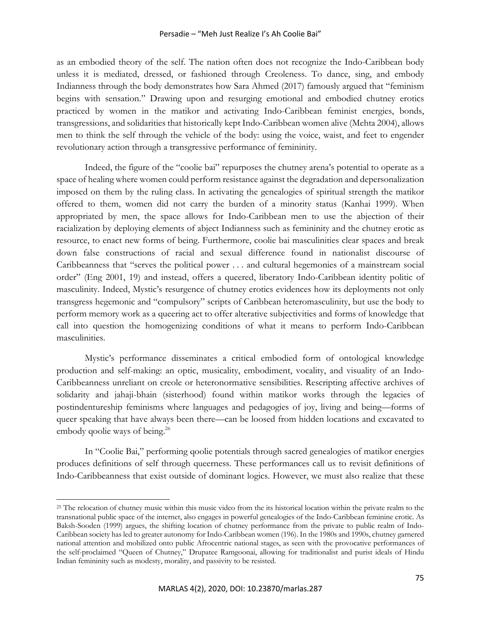#### Persadie – "Meh Just Realize I's Ah Coolie Bai"

as an embodied theory of the self. The nation often does not recognize the Indo-Caribbean body unless it is mediated, dressed, or fashioned through Creoleness. To dance, sing, and embody Indianness through the body demonstrates how Sara Ahmed (2017) famously argued that "feminism begins with sensation." Drawing upon and resurging emotional and embodied chutney erotics practiced by women in the matikor and activating Indo-Caribbean feminist energies, bonds, transgressions, and solidarities that historically kept Indo-Caribbean women alive (Mehta 2004), allows men to think the self through the vehicle of the body: using the voice, waist, and feet to engender revolutionary action through a transgressive performance of femininity.

Indeed, the figure of the "coolie bai" repurposes the chutney arena's potential to operate as a space of healing where women could perform resistance against the degradation and depersonalization imposed on them by the ruling class. In activating the genealogies of spiritual strength the matikor offered to them, women did not carry the burden of a minority status (Kanhai 1999). When appropriated by men, the space allows for Indo-Caribbean men to use the abjection of their racialization by deploying elements of abject Indianness such as femininity and the chutney erotic as resource, to enact new forms of being. Furthermore, coolie bai masculinities clear spaces and break down false constructions of racial and sexual difference found in nationalist discourse of Caribbeanness that "serves the political power . . . and cultural hegemonies of a mainstream social order" (Eng 2001, 19) and instead, offers a queered, liberatory Indo-Caribbean identity politic of masculinity. Indeed, Mystic's resurgence of chutney erotics evidences how its deployments not only transgress hegemonic and "compulsory" scripts of Caribbean heteromasculinity, but use the body to perform memory work as a queering act to offer alterative subjectivities and forms of knowledge that call into question the homogenizing conditions of what it means to perform Indo-Caribbean masculinities.

Mystic's performance disseminates a critical embodied form of ontological knowledge production and self-making: an optic, musicality, embodiment, vocality, and visuality of an Indo-Caribbeanness unreliant on creole or heteronormative sensibilities. Rescripting affective archives of solidarity and jahaji-bhain (sisterhood) found within matikor works through the legacies of postindentureship feminisms where languages and pedagogies of joy, living and being—forms of queer speaking that have always been there—can be loosed from hidden locations and excavated to embody qoolie ways of being.<sup>26</sup>

In "Coolie Bai," performing qoolie potentials through sacred genealogies of matikor energies produces definitions of self through queerness. These performances call us to revisit definitions of Indo-Caribbeanness that exist outside of dominant logics. However, we must also realize that these

<sup>&</sup>lt;sup>25</sup> The relocation of chutney music within this music video from the its historical location within the private realm to the transnational public space of the internet, also engages in powerful genealogies of the Indo-Caribbean feminine erotic. As Baksh-Sooden (1999) argues, the shifting location of chutney performance from the private to public realm of Indo-Caribbean society has led to greater autonomy for Indo-Caribbean women (196). In the 1980s and 1990s, chutney garnered national attention and mobilized onto public Afrocentric national stages, as seen with the provocative performances of the self-proclaimed "Queen of Chutney," Drupatee Ramgoonai, allowing for traditionalist and purist ideals of Hindu Indian femininity such as modesty, morality, and passivity to be resisted.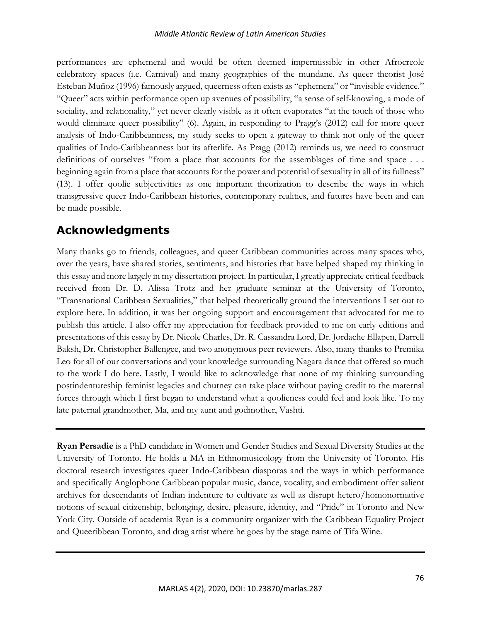performances are ephemeral and would be often deemed impermissible in other Afrocreole celebratory spaces (i.e. Carnival) and many geographies of the mundane. As queer theorist José Esteban Muñoz (1996) famously argued, queerness often exists as "ephemera" or "invisible evidence." "Queer" acts within performance open up avenues of possibility, "a sense of self-knowing, a mode of sociality, and relationality," yet never clearly visible as it often evaporates "at the touch of those who would eliminate queer possibility" (6). Again, in responding to Pragg's (2012) call for more queer analysis of Indo-Caribbeanness, my study seeks to open a gateway to think not only of the queer qualities of Indo-Caribbeanness but its afterlife. As Pragg (2012) reminds us, we need to construct definitions of ourselves "from a place that accounts for the assemblages of time and space . . . beginning again from a place that accounts for the power and potential of sexuality in all of its fullness" (13). I offer qoolie subjectivities as one important theorization to describe the ways in which transgressive queer Indo-Caribbean histories, contemporary realities, and futures have been and can be made possible.

# **Acknowledgments**

Many thanks go to friends, colleagues, and queer Caribbean communities across many spaces who, over the years, have shared stories, sentiments, and histories that have helped shaped my thinking in this essay and more largely in my dissertation project. In particular, I greatly appreciate critical feedback received from Dr. D. Alissa Trotz and her graduate seminar at the University of Toronto, "Transnational Caribbean Sexualities," that helped theoretically ground the interventions I set out to explore here. In addition, it was her ongoing support and encouragement that advocated for me to publish this article. I also offer my appreciation for feedback provided to me on early editions and presentations of this essay by Dr. Nicole Charles, Dr. R. Cassandra Lord, Dr. Jordache Ellapen, Darrell Baksh, Dr. Christopher Ballengee, and two anonymous peer reviewers. Also, many thanks to Premika Leo for all of our conversations and your knowledge surrounding Nagara dance that offered so much to the work I do here. Lastly, I would like to acknowledge that none of my thinking surrounding postindentureship feminist legacies and chutney can take place without paying credit to the maternal forces through which I first began to understand what a qoolieness could feel and look like. To my late paternal grandmother, Ma, and my aunt and godmother, Vashti.

**Ryan Persadie** is a PhD candidate in Women and Gender Studies and Sexual Diversity Studies at the University of Toronto. He holds a MA in Ethnomusicology from the University of Toronto. His doctoral research investigates queer Indo-Caribbean diasporas and the ways in which performance and specifically Anglophone Caribbean popular music, dance, vocality, and embodiment offer salient archives for descendants of Indian indenture to cultivate as well as disrupt hetero/homonormative notions of sexual citizenship, belonging, desire, pleasure, identity, and "Pride" in Toronto and New York City. Outside of academia Ryan is a community organizer with the Caribbean Equality Project and Queeribbean Toronto, and drag artist where he goes by the stage name of Tifa Wine.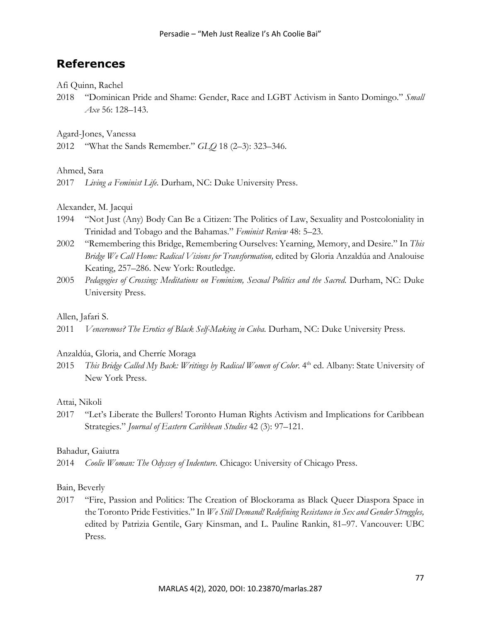# **References**

Afi Quinn, Rachel

2018 "Dominican Pride and Shame: Gender, Race and LGBT Activism in Santo Domingo." *Small Axe* 56: 128–143.

Agard-Jones, Vanessa

2012 "What the Sands Remember." *GLQ* 18 (2–3): 323–346.

Ahmed, Sara

2017 *Living a Feminist Life.* Durham, NC: Duke University Press.

#### Alexander, M. Jacqui

- 1994 "Not Just (Any) Body Can Be a Citizen: The Politics of Law, Sexuality and Postcoloniality in Trinidad and Tobago and the Bahamas." *Feminist Review* 48: 5–23.
- 2002 "Remembering this Bridge, Remembering Ourselves: Yearning, Memory, and Desire." In *This Bridge We Call Home: Radical Visions for Transformation,* edited by Gloria Anzaldúa and Analouise Keating, 257–286. New York: Routledge.
- 2005 Pedagogies of Crossing: Meditations on Feminism, Sexual Politics and the Sacred. Durham, NC: Duke University Press.

# Allen, Jafari S.

2011 *Venceremos? The Erotics of Black Self-Making in Cuba. Durham, NC: Duke University Press.* 

#### Anzaldúa, Gloria, and Cherríe Moraga

2015 *This Bridge Called My Back: Writings by Radical Women of Color*. 4<sup>th</sup> ed. Albany: State University of New York Press.

#### Attai, Nikoli

2017 "Let's Liberate the Bullers! Toronto Human Rights Activism and Implications for Caribbean Strategies." *Journal of Eastern Caribbean Studies* 42 (3): 97–121.

#### Bahadur, Gaiutra

2014 *Coolie Woman: The Odyssey of Indenture.* Chicago: University of Chicago Press.

# Bain, Beverly

2017 "Fire, Passion and Politics: The Creation of Blockorama as Black Queer Diaspora Space in the Toronto Pride Festivities." In *We Still Demand! Redefining Resistance in Sex and Gender Struggles,*  edited by Patrizia Gentile, Gary Kinsman, and L. Pauline Rankin, 81–97. Vancouver: UBC Press.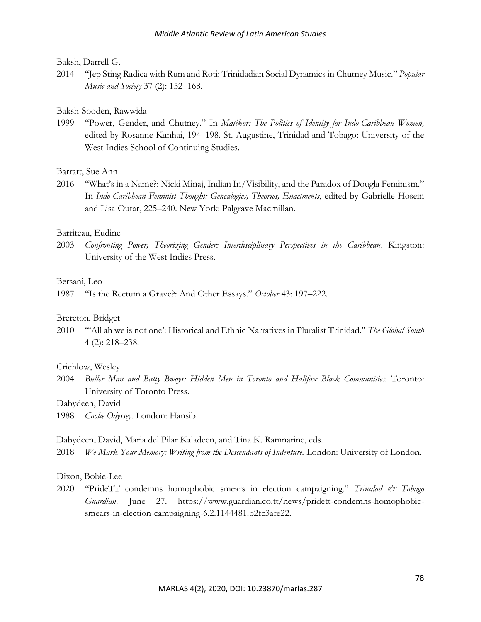#### Baksh, Darrell G.

2014 "Jep Sting Radica with Rum and Roti: Trinidadian Social Dynamics in Chutney Music." *Popular Music and Society* 37 (2): 152–168.

#### Baksh-Sooden, Rawwida

1999 "Power, Gender, and Chutney." In *Matikor: The Politics of Identity for Indo-Caribbean Women,*  edited by Rosanne Kanhai, 194–198. St. Augustine, Trinidad and Tobago: University of the West Indies School of Continuing Studies.

#### Barratt, Sue Ann

2016 "What's in a Name?: Nicki Minaj, Indian In/Visibility, and the Paradox of Dougla Feminism." In *Indo-Caribbean Feminist Thought: Genealogies, Theories, Enactments*, edited by Gabrielle Hosein and Lisa Outar, 225–240. New York: Palgrave Macmillan.

# Barriteau, Eudine

2003 *Confronting Power, Theorizing Gender: Interdisciplinary Perspectives in the Caribbean.* Kingston: University of the West Indies Press.

#### Bersani, Leo

1987 "Is the Rectum a Grave?: And Other Essays." *October* 43: 197–222.

#### Brereton, Bridget

2010 "'All ah we is not one': Historical and Ethnic Narratives in Pluralist Trinidad." *The Global South*  4 (2): 218–238.

#### Crichlow, Wesley

2004 *Buller Man and Batty Bwoys: Hidden Men in Toronto and Halifax Black Communities.* Toronto: University of Toronto Press.

# Dabydeen, David

1988 *Coolie Odyssey.* London: Hansib.

#### Dabydeen, David, Maria del Pilar Kaladeen, and Tina K. Ramnarine, eds.

2018 *We Mark Your Memory: Writing from the Descendants of Indenture. London: University of London.* 

#### Dixon, Bobie-Lee

2020 "PrideTT condemns homophobic smears in election campaigning." *Trinidad & Tobago Guardian,* June 27. https://www.guardian.co.tt/news/pridett-condemns-homophobicsmears-in-election-campaigning-6.2.1144481.b2fc3afe22.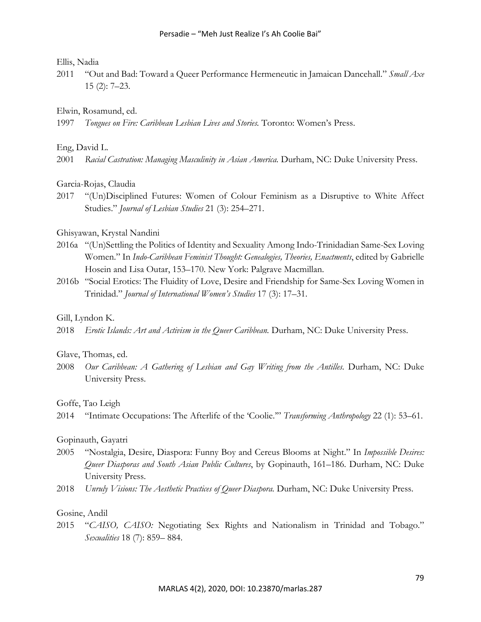#### Ellis, Nadia

2011 "Out and Bad: Toward a Queer Performance Hermeneutic in Jamaican Dancehall." *Small Axe*  15 (2): 7–23.

#### Elwin, Rosamund, ed.

1997 *Tongues on Fire: Caribbean Lesbian Lives and Stories.* Toronto: Women's Press.

### Eng, David L.

2001 Racial Castration: Managing Masculinity in Asian America. Durham, NC: Duke University Press.

#### Garcia-Rojas, Claudia

2017 "(Un)Disciplined Futures: Women of Colour Feminism as a Disruptive to White Affect Studies." *Journal of Lesbian Studies* 21 (3): 254–271.

# Ghisyawan, Krystal Nandini

- 2016a "(Un)Settling the Politics of Identity and Sexuality Among Indo-Trinidadian Same-Sex Loving Women." In *Indo-Caribbean Feminist Thought: Genealogies, Theories, Enactments*, edited by Gabrielle Hosein and Lisa Outar, 153–170. New York: Palgrave Macmillan.
- 2016b "Social Erotics: The Fluidity of Love, Desire and Friendship for Same-Sex Loving Women in Trinidad." *Journal of International Women's Studies* 17 (3): 17–31.

#### Gill, Lyndon K.

2018 *Erotic Islands: Art and Activism in the Queer Caribbean.* Durham, NC: Duke University Press.

#### Glave, Thomas, ed.

2008 *Our Caribbean: A Gathering of Lesbian and Gay Writing from the Antilles. Durham, NC: Duke* University Press.

#### Goffe, Tao Leigh

# Gopinauth, Gayatri

- 2005 "Nostalgia, Desire, Diaspora: Funny Boy and Cereus Blooms at Night." In *Impossible Desires: Queer Diasporas and South Asian Public Cultures*, by Gopinauth, 161–186. Durham, NC: Duke University Press.
- 2018 *Unruly Visions: The Aesthetic Practices of Queer Diaspora. Durham, NC: Duke University Press.*

### Gosine, Andil

2015 "*CAISO, CAISO:* Negotiating Sex Rights and Nationalism in Trinidad and Tobago." *Sexualities* 18 (7): 859– 884.

<sup>2014</sup> "Intimate Occupations: The Afterlife of the 'Coolie.'" *Transforming Anthropology* 22 (1): 53–61.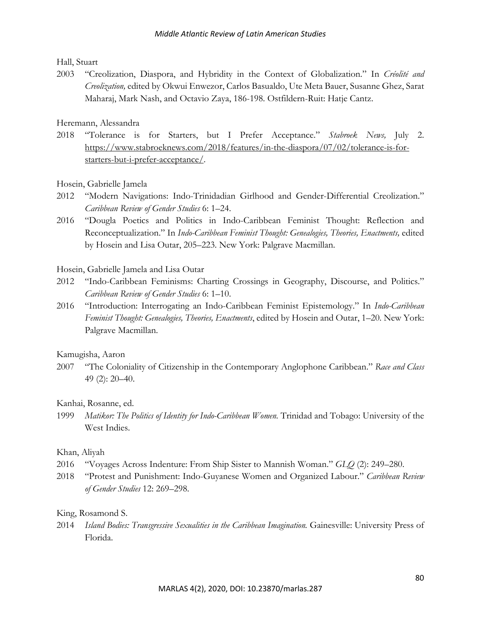Hall, Stuart

2003 "Creolization, Diaspora, and Hybridity in the Context of Globalization." In *Créolité and Creolization,* edited by Okwui Enwezor, Carlos Basualdo, Ute Meta Bauer, Susanne Ghez, Sarat Maharaj, Mark Nash, and Octavio Zaya, 186-198. Ostfildern-Ruit: Hatje Cantz.

Heremann, Alessandra

2018 "Tolerance is for Starters, but I Prefer Acceptance." *Stabroek News,* July 2. https://www.stabroeknews.com/2018/features/in-the-diaspora/07/02/tolerance-is-forstarters-but-i-prefer-acceptance/.

Hosein, Gabrielle Jamela

- 2012 "Modern Navigations: Indo-Trinidadian Girlhood and Gender-Differential Creolization." *Caribbean Review of Gender Studies* 6: 1–24.
- 2016 "Dougla Poetics and Politics in Indo-Caribbean Feminist Thought: Reflection and Reconceptualization." In *Indo-Caribbean Feminist Thought: Genealogies, Theories, Enactments, edited* by Hosein and Lisa Outar, 205–223. New York: Palgrave Macmillan.

Hosein, Gabrielle Jamela and Lisa Outar

- 2012 "Indo-Caribbean Feminisms: Charting Crossings in Geography, Discourse, and Politics." *Caribbean Review of Gender Studies* 6: 1–10.
- 2016 "Introduction: Interrogating an Indo-Caribbean Feminist Epistemology." In *Indo-Caribbean Feminist Thought: Genealogies, Theories, Enactments*, edited by Hosein and Outar, 1–20*.* New York: Palgrave Macmillan.

Kamugisha, Aaron

2007 "The Coloniality of Citizenship in the Contemporary Anglophone Caribbean." *Race and Class*  49 (2): 20–40.

Kanhai, Rosanne, ed.

1999 *Matikor: The Politics of Identity for Indo-Caribbean Women.* Trinidad and Tobago: University of the West Indies.

# Khan, Aliyah

- 2016 "Voyages Across Indenture: From Ship Sister to Mannish Woman." *GLQ* (2): 249–280.
- 2018 "Protest and Punishment: Indo-Guyanese Women and Organized Labour." *Caribbean Review of Gender Studies* 12: 269–298.

# King, Rosamond S.

2014 *Island Bodies: Transgressive Sexualities in the Caribbean Imagination.* Gainesville: University Press of Florida.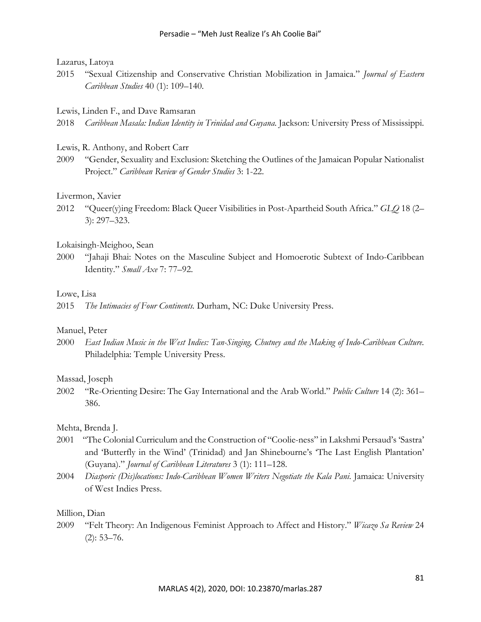# Lazarus, Latoya

2015 "Sexual Citizenship and Conservative Christian Mobilization in Jamaica." *Journal of Eastern Caribbean Studies* 40 (1): 109–140.

#### Lewis, Linden F., and Dave Ramsaran

2018 *Caribbean Masala: Indian Identity in Trinidad and Guyana.* Jackson: University Press of Mississippi.

#### Lewis, R. Anthony, and Robert Carr

2009 "Gender, Sexuality and Exclusion: Sketching the Outlines of the Jamaican Popular Nationalist Project." *Caribbean Review of Gender Studies* 3: 1-22.

#### Livermon, Xavier

2012 "Queer(y)ing Freedom: Black Queer Visibilities in Post-Apartheid South Africa." *GLQ* 18 (2– 3): 297–323.

#### Lokaisingh-Meighoo, Sean

2000 "Jahaji Bhai: Notes on the Masculine Subject and Homoerotic Subtext of Indo-Caribbean Identity." *Small Axe* 7: 77–92.

#### Lowe, Lisa

2015 *The Intimacies of Four Continents.* Durham, NC: Duke University Press.

#### Manuel, Peter

2000 *East Indian Music in the West Indies: Tan-Singing, Chutney and the Making of Indo-Caribbean Culture.* Philadelphia: Temple University Press.

#### Massad, Joseph

2002 "Re-Orienting Desire: The Gay International and the Arab World." *Public Culture* 14 (2): 361– 386.

# Mehta, Brenda J.

- 2001 "The Colonial Curriculum and the Construction of "Coolie-ness" in Lakshmi Persaud's 'Sastra' and 'Butterfly in the Wind' (Trinidad) and Jan Shinebourne's 'The Last English Plantation' (Guyana)." *Journal of Caribbean Literatures* 3 (1): 111–128.
- 2004 *Diasporic (Dis)locations: Indo-Caribbean Women Writers Negotiate the Kala Pani*. Jamaica: University of West Indies Press.

#### Million, Dian

2009 "Felt Theory: An Indigenous Feminist Approach to Affect and History." *Wicazo Sa Review* 24  $(2): 53 - 76.$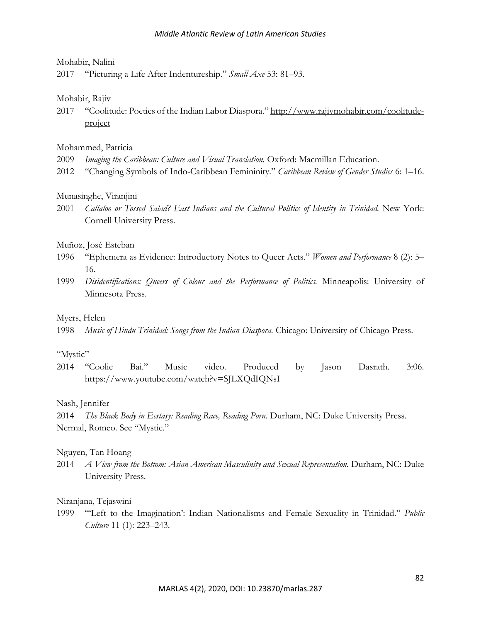# Mohabir, Nalini

2017 "Picturing a Life After Indentureship." *Small Axe* 53: 81–93.

# Mohabir, Rajiv

2017 "Coolitude: Poetics of the Indian Labor Diaspora." http://www.rajivmohabir.com/coolitudeproject

# Mohammed, Patricia

- 2009 *Imaging the Caribbean: Culture and Visual Translation.* Oxford: Macmillan Education.
- 2012 "Changing Symbols of Indo-Caribbean Femininity." *Caribbean Review of Gender Studies* 6: 1–16.

# Munasinghe, Viranjini

2001 *Callaloo or Tossed Salad? East Indians and the Cultural Politics of Identity in Trinidad. New York:* Cornell University Press.

# Muñoz, José Esteban

- 1996 "Ephemera as Evidence: Introductory Notes to Queer Acts." *Women and Performance* 8 (2): 5– 16.
- 1999 *Disidentifications: Queers of Colour and the Performance of Politics.* Minneapolis: University of Minnesota Press.

# Myers, Helen

1998 *Music of Hindu Trinidad: Songs from the Indian Diaspora.* Chicago: University of Chicago Press.

# "Mystic"

2014 "Coolie Bai." Music video. Produced by Jason Dasrath. 3:06. https://www.youtube.com/watch?v=SJLXQdIQNsI

# Nash, Jennifer

2014 *The Black Body in Ecstasy: Reading Race, Reading Porn. Durham, NC: Duke University Press.* Nermal, Romeo. See "Mystic."

# Nguyen, Tan Hoang

2014 *A View from the Bottom: Asian American Masculinity and Sexual Representation.* Durham, NC: Duke University Press.

# Niranjana, Tejaswini

1999 "'Left to the Imagination': Indian Nationalisms and Female Sexuality in Trinidad." *Public Culture* 11 (1): 223–243.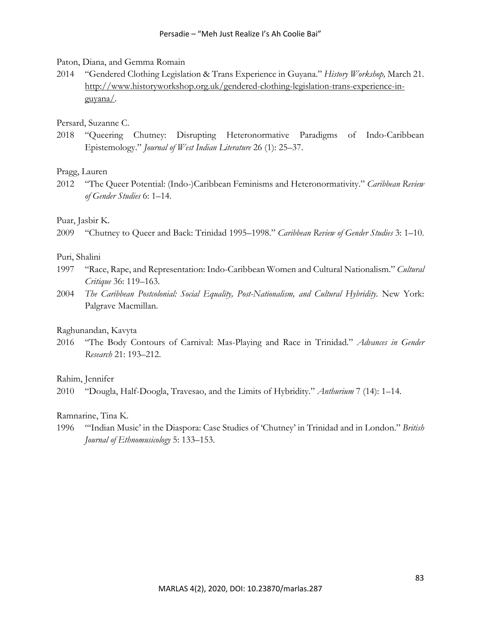#### Paton, Diana, and Gemma Romain

2014 "Gendered Clothing Legislation & Trans Experience in Guyana." *History Workshop,* March 21. http://www.historyworkshop.org.uk/gendered-clothing-legislation-trans-experience-inguyana/.

#### Persard, Suzanne C.

2018 "Queering Chutney: Disrupting Heteronormative Paradigms of Indo-Caribbean Epistemology." *Journal of West Indian Literature* 26 (1): 25–37.

#### Pragg, Lauren

2012 "The Queer Potential: (Indo-)Caribbean Feminisms and Heteronormativity." *Caribbean Review of Gender Studies* 6: 1–14.

#### Puar, Jasbir K.

2009 "Chutney to Queer and Back: Trinidad 1995–1998." *Caribbean Review of Gender Studies* 3: 1–10.

### Puri, Shalini

- 1997 "Race, Rape, and Representation: Indo-Caribbean Women and Cultural Nationalism." *Cultural Critique* 36: 119–163.
- 2004 *The Caribbean Postcolonial: Social Equality, Post-Nationalism, and Cultural Hybridity. New York:* Palgrave Macmillan.

#### Raghunandan, Kavyta

2016 "The Body Contours of Carnival: Mas-Playing and Race in Trinidad." *Advances in Gender Research* 21: 193–212.

#### Rahim, Jennifer

2010 "Dougla, Half-Doogla, Travesao, and the Limits of Hybridity." *Anthurium* 7 (14): 1–14.

#### Ramnarine, Tina K.

1996 "'Indian Music' in the Diaspora: Case Studies of 'Chutney' in Trinidad and in London." *British Journal of Ethnomusicology* 5: 133–153.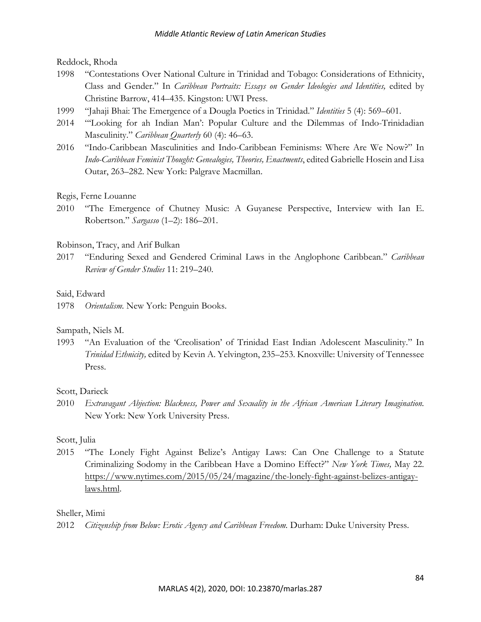Reddock, Rhoda

- 1998 "Contestations Over National Culture in Trinidad and Tobago: Considerations of Ethnicity, Class and Gender." In *Caribbean Portraits: Essays on Gender Ideologies and Identities,* edited by Christine Barrow, 414–435. Kingston: UWI Press.
- 1999 "Jahaji Bhai: The Emergence of a Dougla Poetics in Trinidad." *Identities* 5 (4): 569–601.
- 2014 "'Looking for ah Indian Man': Popular Culture and the Dilemmas of Indo-Trinidadian Masculinity." *Caribbean Quarterly* 60 (4): 46–63.
- 2016 "Indo-Caribbean Masculinities and Indo-Caribbean Feminisms: Where Are We Now?" In *Indo-Caribbean Feminist Thought: Genealogies, Theories, Enactments*, edited Gabrielle Hosein and Lisa Outar, 263–282. New York: Palgrave Macmillan.

# Regis, Ferne Louanne

2010 "The Emergence of Chutney Music: A Guyanese Perspective, Interview with Ian E. Robertson." *Sargasso* (1–2): 186–201.

# Robinson, Tracy, and Arif Bulkan

2017 "Enduring Sexed and Gendered Criminal Laws in the Anglophone Caribbean." *Caribbean Review of Gender Studies* 11: 219–240.

# Said, Edward

1978 *Orientalism.* New York: Penguin Books.

# Sampath, Niels M.

1993 "An Evaluation of the 'Creolisation' of Trinidad East Indian Adolescent Masculinity." In *Trinidad Ethnicity,* edited by Kevin A. Yelvington, 235–253. Knoxville: University of Tennessee Press.

# Scott, Darieck

2010 *Extravagant Abjection: Blackness, Power and Sexuality in the African American Literary Imagination.*  New York: New York University Press.

# Scott, Julia

2015 "The Lonely Fight Against Belize's Antigay Laws: Can One Challenge to a Statute Criminalizing Sodomy in the Caribbean Have a Domino Effect?" *New York Times,* May 22. https://www.nytimes.com/2015/05/24/magazine/the-lonely-fight-against-belizes-antigaylaws.html.

# Sheller, Mimi

2012 *Citizenship from Below: Erotic Agency and Caribbean Freedom.* Durham: Duke University Press.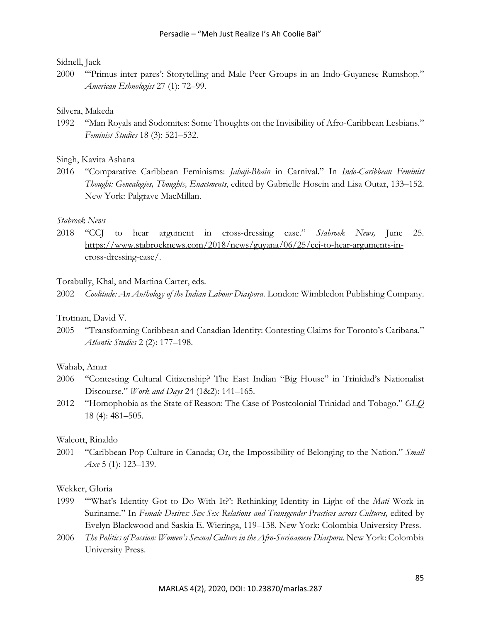# Sidnell, Jack

2000 "'Primus inter pares': Storytelling and Male Peer Groups in an Indo-Guyanese Rumshop." *American Ethnologist* 27 (1): 72–99.

#### Silvera, Makeda

1992 "Man Royals and Sodomites: Some Thoughts on the Invisibility of Afro-Caribbean Lesbians." *Feminist Studies* 18 (3): 521–532.

### Singh, Kavita Ashana

2016 "Comparative Caribbean Feminisms: *Jahaji-Bhain* in Carnival." In *Indo-Caribbean Feminist Thought: Genealogies, Thoughts, Enactments*, edited by Gabrielle Hosein and Lisa Outar, 133–152. New York: Palgrave MacMillan.

# *Stabroek News*

2018 "CCJ to hear argument in cross-dressing case." *Stabroek News,* June 25. https://www.stabroeknews.com/2018/news/guyana/06/25/ccj-to-hear-arguments-incross-dressing-case/.

#### Torabully, Khal, and Martina Carter, eds.

2002 *Coolitude: An Anthology of the Indian Labour Diaspora.* London: Wimbledon Publishing Company.

#### Trotman, David V.

2005 "Transforming Caribbean and Canadian Identity: Contesting Claims for Toronto's Caribana." *Atlantic Studies* 2 (2): 177–198.

### Wahab, Amar

- 2006 "Contesting Cultural Citizenship? The East Indian "Big House" in Trinidad's Nationalist Discourse." *Work and Days* 24 (1&2): 141–165.
- 2012 "Homophobia as the State of Reason: The Case of Postcolonial Trinidad and Tobago." *GLQ*  18 (4): 481–505.

# Walcott, Rinaldo

2001 "Caribbean Pop Culture in Canada; Or, the Impossibility of Belonging to the Nation." *Small Axe* 5 (1): 123–139.

#### Wekker, Gloria

- 1999 "'What's Identity Got to Do With It?': Rethinking Identity in Light of the *Mati* Work in Suriname." In *Female Desires: Sex-Sex Relations and Transgender Practices across Cultures*, edited by Evelyn Blackwood and Saskia E. Wieringa, 119–138. New York: Colombia University Press.
- 2006 *The Politics of Passion: Women's Sexual Culture in the Afro-Surinamese Diaspora.* New York: Colombia University Press.